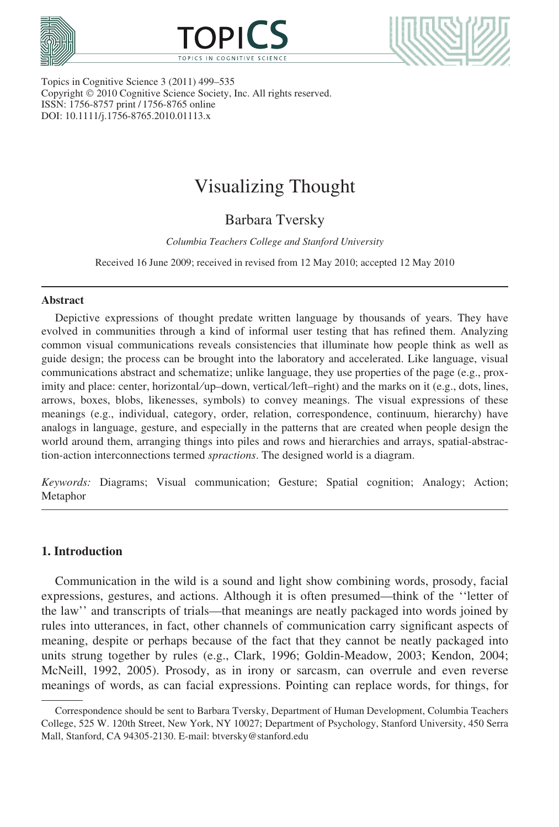





Topics in Cognitive Science 3 (2011) 499–535 Copyright © 2010 Cognitive Science Society, Inc. All rights reserved. ISSN: 1756-8757 print / 1756-8765 online DOI: 10.1111/j.1756-8765.2010.01113.x

# Visualizing Thought

# Barbara Tversky

Columbia Teachers College and Stanford University

Received 16 June 2009; received in revised from 12 May 2010; accepted 12 May 2010

# Abstract

Depictive expressions of thought predate written language by thousands of years. They have evolved in communities through a kind of informal user testing that has refined them. Analyzing common visual communications reveals consistencies that illuminate how people think as well as guide design; the process can be brought into the laboratory and accelerated. Like language, visual communications abstract and schematize; unlike language, they use properties of the page (e.g., proximity and place: center, horizontal/up–down, vertical/left–right) and the marks on it (e.g., dots, lines, arrows, boxes, blobs, likenesses, symbols) to convey meanings. The visual expressions of these meanings (e.g., individual, category, order, relation, correspondence, continuum, hierarchy) have analogs in language, gesture, and especially in the patterns that are created when people design the world around them, arranging things into piles and rows and hierarchies and arrays, spatial-abstraction-action interconnections termed spractions. The designed world is a diagram.

Keywords: Diagrams; Visual communication; Gesture; Spatial cognition; Analogy; Action; Metaphor

# 1. Introduction

Communication in the wild is a sound and light show combining words, prosody, facial expressions, gestures, and actions. Although it is often presumed—think of the ''letter of the law'' and transcripts of trials—that meanings are neatly packaged into words joined by rules into utterances, in fact, other channels of communication carry significant aspects of meaning, despite or perhaps because of the fact that they cannot be neatly packaged into units strung together by rules (e.g., Clark, 1996; Goldin-Meadow, 2003; Kendon, 2004; McNeill, 1992, 2005). Prosody, as in irony or sarcasm, can overrule and even reverse meanings of words, as can facial expressions. Pointing can replace words, for things, for

Correspondence should be sent to Barbara Tversky, Department of Human Development, Columbia Teachers College, 525 W. 120th Street, New York, NY 10027; Department of Psychology, Stanford University, 450 Serra Mall, Stanford, CA 94305-2130. E-mail: btversky@stanford.edu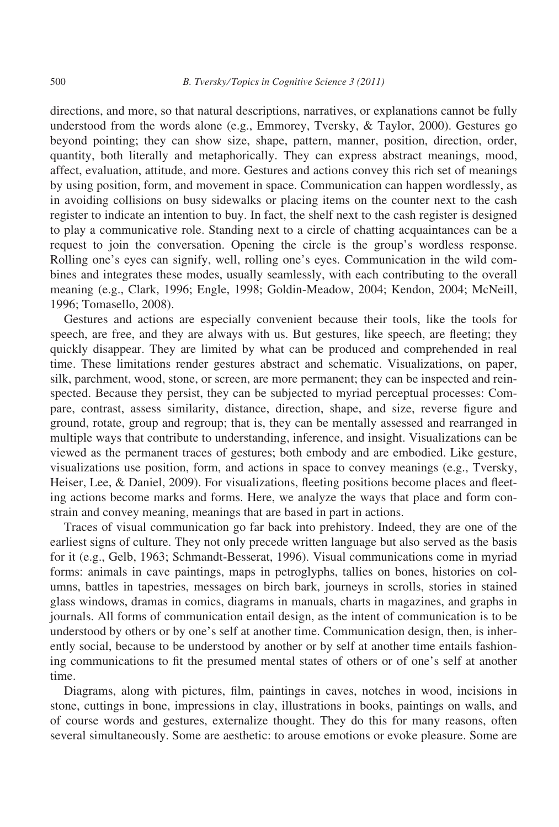directions, and more, so that natural descriptions, narratives, or explanations cannot be fully understood from the words alone (e.g., Emmorey, Tversky, & Taylor, 2000). Gestures go beyond pointing; they can show size, shape, pattern, manner, position, direction, order, quantity, both literally and metaphorically. They can express abstract meanings, mood, affect, evaluation, attitude, and more. Gestures and actions convey this rich set of meanings by using position, form, and movement in space. Communication can happen wordlessly, as in avoiding collisions on busy sidewalks or placing items on the counter next to the cash register to indicate an intention to buy. In fact, the shelf next to the cash register is designed to play a communicative role. Standing next to a circle of chatting acquaintances can be a request to join the conversation. Opening the circle is the group's wordless response. Rolling one's eyes can signify, well, rolling one's eyes. Communication in the wild combines and integrates these modes, usually seamlessly, with each contributing to the overall meaning (e.g., Clark, 1996; Engle, 1998; Goldin-Meadow, 2004; Kendon, 2004; McNeill, 1996; Tomasello, 2008).

Gestures and actions are especially convenient because their tools, like the tools for speech, are free, and they are always with us. But gestures, like speech, are fleeting; they quickly disappear. They are limited by what can be produced and comprehended in real time. These limitations render gestures abstract and schematic. Visualizations, on paper, silk, parchment, wood, stone, or screen, are more permanent; they can be inspected and reinspected. Because they persist, they can be subjected to myriad perceptual processes: Compare, contrast, assess similarity, distance, direction, shape, and size, reverse figure and ground, rotate, group and regroup; that is, they can be mentally assessed and rearranged in multiple ways that contribute to understanding, inference, and insight. Visualizations can be viewed as the permanent traces of gestures; both embody and are embodied. Like gesture, visualizations use position, form, and actions in space to convey meanings (e.g., Tversky, Heiser, Lee, & Daniel, 2009). For visualizations, fleeting positions become places and fleeting actions become marks and forms. Here, we analyze the ways that place and form constrain and convey meaning, meanings that are based in part in actions.

Traces of visual communication go far back into prehistory. Indeed, they are one of the earliest signs of culture. They not only precede written language but also served as the basis for it (e.g., Gelb, 1963; Schmandt-Besserat, 1996). Visual communications come in myriad forms: animals in cave paintings, maps in petroglyphs, tallies on bones, histories on columns, battles in tapestries, messages on birch bark, journeys in scrolls, stories in stained glass windows, dramas in comics, diagrams in manuals, charts in magazines, and graphs in journals. All forms of communication entail design, as the intent of communication is to be understood by others or by one's self at another time. Communication design, then, is inherently social, because to be understood by another or by self at another time entails fashioning communications to fit the presumed mental states of others or of one's self at another time.

Diagrams, along with pictures, film, paintings in caves, notches in wood, incisions in stone, cuttings in bone, impressions in clay, illustrations in books, paintings on walls, and of course words and gestures, externalize thought. They do this for many reasons, often several simultaneously. Some are aesthetic: to arouse emotions or evoke pleasure. Some are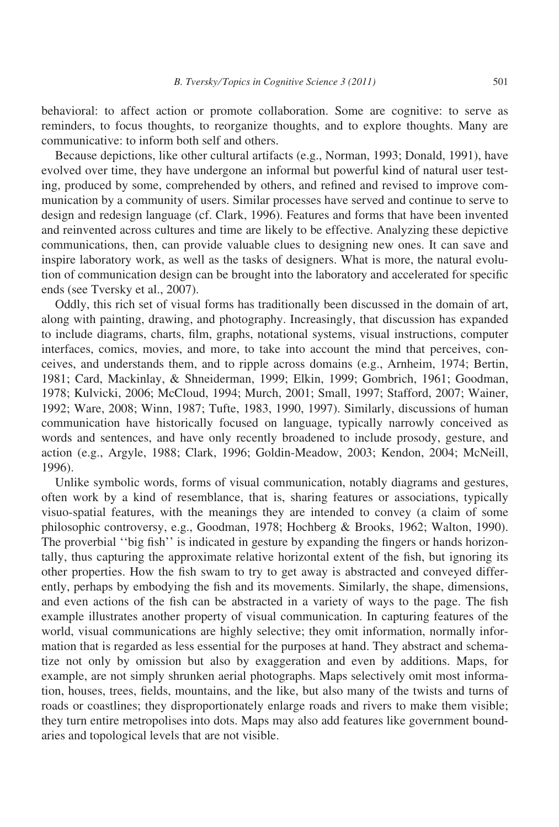behavioral: to affect action or promote collaboration. Some are cognitive: to serve as reminders, to focus thoughts, to reorganize thoughts, and to explore thoughts. Many are communicative: to inform both self and others.

Because depictions, like other cultural artifacts (e.g., Norman, 1993; Donald, 1991), have evolved over time, they have undergone an informal but powerful kind of natural user testing, produced by some, comprehended by others, and refined and revised to improve communication by a community of users. Similar processes have served and continue to serve to design and redesign language (cf. Clark, 1996). Features and forms that have been invented and reinvented across cultures and time are likely to be effective. Analyzing these depictive communications, then, can provide valuable clues to designing new ones. It can save and inspire laboratory work, as well as the tasks of designers. What is more, the natural evolution of communication design can be brought into the laboratory and accelerated for specific ends (see Tversky et al., 2007).

Oddly, this rich set of visual forms has traditionally been discussed in the domain of art, along with painting, drawing, and photography. Increasingly, that discussion has expanded to include diagrams, charts, film, graphs, notational systems, visual instructions, computer interfaces, comics, movies, and more, to take into account the mind that perceives, conceives, and understands them, and to ripple across domains (e.g., Arnheim, 1974; Bertin, 1981; Card, Mackinlay, & Shneiderman, 1999; Elkin, 1999; Gombrich, 1961; Goodman, 1978; Kulvicki, 2006; McCloud, 1994; Murch, 2001; Small, 1997; Stafford, 2007; Wainer, 1992; Ware, 2008; Winn, 1987; Tufte, 1983, 1990, 1997). Similarly, discussions of human communication have historically focused on language, typically narrowly conceived as words and sentences, and have only recently broadened to include prosody, gesture, and action (e.g., Argyle, 1988; Clark, 1996; Goldin-Meadow, 2003; Kendon, 2004; McNeill, 1996).

Unlike symbolic words, forms of visual communication, notably diagrams and gestures, often work by a kind of resemblance, that is, sharing features or associations, typically visuo-spatial features, with the meanings they are intended to convey (a claim of some philosophic controversy, e.g., Goodman, 1978; Hochberg & Brooks, 1962; Walton, 1990). The proverbial ''big fish'' is indicated in gesture by expanding the fingers or hands horizontally, thus capturing the approximate relative horizontal extent of the fish, but ignoring its other properties. How the fish swam to try to get away is abstracted and conveyed differently, perhaps by embodying the fish and its movements. Similarly, the shape, dimensions, and even actions of the fish can be abstracted in a variety of ways to the page. The fish example illustrates another property of visual communication. In capturing features of the world, visual communications are highly selective; they omit information, normally information that is regarded as less essential for the purposes at hand. They abstract and schematize not only by omission but also by exaggeration and even by additions. Maps, for example, are not simply shrunken aerial photographs. Maps selectively omit most information, houses, trees, fields, mountains, and the like, but also many of the twists and turns of roads or coastlines; they disproportionately enlarge roads and rivers to make them visible; they turn entire metropolises into dots. Maps may also add features like government boundaries and topological levels that are not visible.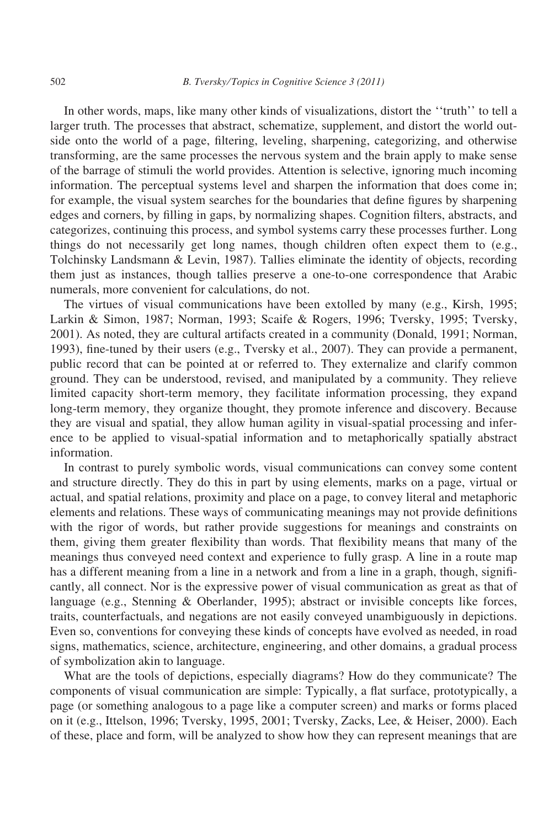In other words, maps, like many other kinds of visualizations, distort the ''truth'' to tell a larger truth. The processes that abstract, schematize, supplement, and distort the world outside onto the world of a page, filtering, leveling, sharpening, categorizing, and otherwise transforming, are the same processes the nervous system and the brain apply to make sense of the barrage of stimuli the world provides. Attention is selective, ignoring much incoming information. The perceptual systems level and sharpen the information that does come in; for example, the visual system searches for the boundaries that define figures by sharpening edges and corners, by filling in gaps, by normalizing shapes. Cognition filters, abstracts, and categorizes, continuing this process, and symbol systems carry these processes further. Long things do not necessarily get long names, though children often expect them to (e.g., Tolchinsky Landsmann & Levin, 1987). Tallies eliminate the identity of objects, recording them just as instances, though tallies preserve a one-to-one correspondence that Arabic numerals, more convenient for calculations, do not.

The virtues of visual communications have been extolled by many (e.g., Kirsh, 1995; Larkin & Simon, 1987; Norman, 1993; Scaife & Rogers, 1996; Tversky, 1995; Tversky, 2001). As noted, they are cultural artifacts created in a community (Donald, 1991; Norman, 1993), fine-tuned by their users (e.g., Tversky et al., 2007). They can provide a permanent, public record that can be pointed at or referred to. They externalize and clarify common ground. They can be understood, revised, and manipulated by a community. They relieve limited capacity short-term memory, they facilitate information processing, they expand long-term memory, they organize thought, they promote inference and discovery. Because they are visual and spatial, they allow human agility in visual-spatial processing and inference to be applied to visual-spatial information and to metaphorically spatially abstract information.

In contrast to purely symbolic words, visual communications can convey some content and structure directly. They do this in part by using elements, marks on a page, virtual or actual, and spatial relations, proximity and place on a page, to convey literal and metaphoric elements and relations. These ways of communicating meanings may not provide definitions with the rigor of words, but rather provide suggestions for meanings and constraints on them, giving them greater flexibility than words. That flexibility means that many of the meanings thus conveyed need context and experience to fully grasp. A line in a route map has a different meaning from a line in a network and from a line in a graph, though, significantly, all connect. Nor is the expressive power of visual communication as great as that of language (e.g., Stenning & Oberlander, 1995); abstract or invisible concepts like forces, traits, counterfactuals, and negations are not easily conveyed unambiguously in depictions. Even so, conventions for conveying these kinds of concepts have evolved as needed, in road signs, mathematics, science, architecture, engineering, and other domains, a gradual process of symbolization akin to language.

What are the tools of depictions, especially diagrams? How do they communicate? The components of visual communication are simple: Typically, a flat surface, prototypically, a page (or something analogous to a page like a computer screen) and marks or forms placed on it (e.g., Ittelson, 1996; Tversky, 1995, 2001; Tversky, Zacks, Lee, & Heiser, 2000). Each of these, place and form, will be analyzed to show how they can represent meanings that are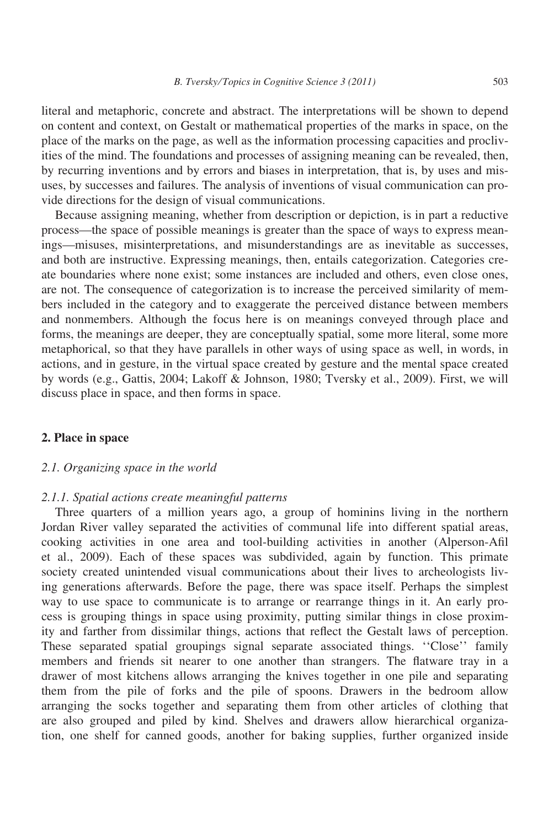literal and metaphoric, concrete and abstract. The interpretations will be shown to depend on content and context, on Gestalt or mathematical properties of the marks in space, on the place of the marks on the page, as well as the information processing capacities and proclivities of the mind. The foundations and processes of assigning meaning can be revealed, then, by recurring inventions and by errors and biases in interpretation, that is, by uses and misuses, by successes and failures. The analysis of inventions of visual communication can provide directions for the design of visual communications.

Because assigning meaning, whether from description or depiction, is in part a reductive process—the space of possible meanings is greater than the space of ways to express meanings—misuses, misinterpretations, and misunderstandings are as inevitable as successes, and both are instructive. Expressing meanings, then, entails categorization. Categories create boundaries where none exist; some instances are included and others, even close ones, are not. The consequence of categorization is to increase the perceived similarity of members included in the category and to exaggerate the perceived distance between members and nonmembers. Although the focus here is on meanings conveyed through place and forms, the meanings are deeper, they are conceptually spatial, some more literal, some more metaphorical, so that they have parallels in other ways of using space as well, in words, in actions, and in gesture, in the virtual space created by gesture and the mental space created by words (e.g., Gattis, 2004; Lakoff & Johnson, 1980; Tversky et al., 2009). First, we will discuss place in space, and then forms in space.

# 2. Place in space

#### 2.1. Organizing space in the world

#### 2.1.1. Spatial actions create meaningful patterns

Three quarters of a million years ago, a group of hominins living in the northern Jordan River valley separated the activities of communal life into different spatial areas, cooking activities in one area and tool-building activities in another (Alperson-Afil et al., 2009). Each of these spaces was subdivided, again by function. This primate society created unintended visual communications about their lives to archeologists living generations afterwards. Before the page, there was space itself. Perhaps the simplest way to use space to communicate is to arrange or rearrange things in it. An early process is grouping things in space using proximity, putting similar things in close proximity and farther from dissimilar things, actions that reflect the Gestalt laws of perception. These separated spatial groupings signal separate associated things. ''Close'' family members and friends sit nearer to one another than strangers. The flatware tray in a drawer of most kitchens allows arranging the knives together in one pile and separating them from the pile of forks and the pile of spoons. Drawers in the bedroom allow arranging the socks together and separating them from other articles of clothing that are also grouped and piled by kind. Shelves and drawers allow hierarchical organization, one shelf for canned goods, another for baking supplies, further organized inside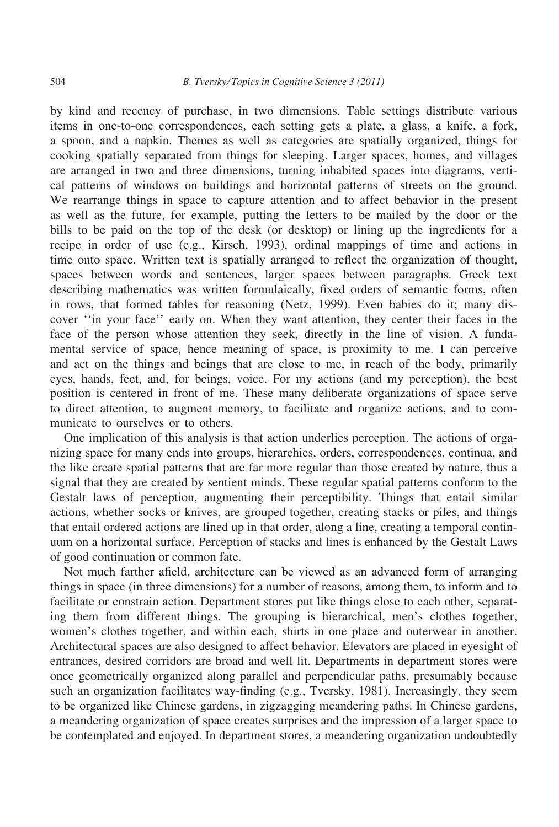by kind and recency of purchase, in two dimensions. Table settings distribute various items in one-to-one correspondences, each setting gets a plate, a glass, a knife, a fork, a spoon, and a napkin. Themes as well as categories are spatially organized, things for cooking spatially separated from things for sleeping. Larger spaces, homes, and villages are arranged in two and three dimensions, turning inhabited spaces into diagrams, vertical patterns of windows on buildings and horizontal patterns of streets on the ground. We rearrange things in space to capture attention and to affect behavior in the present as well as the future, for example, putting the letters to be mailed by the door or the bills to be paid on the top of the desk (or desktop) or lining up the ingredients for a recipe in order of use (e.g., Kirsch, 1993), ordinal mappings of time and actions in time onto space. Written text is spatially arranged to reflect the organization of thought, spaces between words and sentences, larger spaces between paragraphs. Greek text describing mathematics was written formulaically, fixed orders of semantic forms, often in rows, that formed tables for reasoning (Netz, 1999). Even babies do it; many discover ''in your face'' early on. When they want attention, they center their faces in the face of the person whose attention they seek, directly in the line of vision. A fundamental service of space, hence meaning of space, is proximity to me. I can perceive and act on the things and beings that are close to me, in reach of the body, primarily eyes, hands, feet, and, for beings, voice. For my actions (and my perception), the best position is centered in front of me. These many deliberate organizations of space serve to direct attention, to augment memory, to facilitate and organize actions, and to communicate to ourselves or to others.

One implication of this analysis is that action underlies perception. The actions of organizing space for many ends into groups, hierarchies, orders, correspondences, continua, and the like create spatial patterns that are far more regular than those created by nature, thus a signal that they are created by sentient minds. These regular spatial patterns conform to the Gestalt laws of perception, augmenting their perceptibility. Things that entail similar actions, whether socks or knives, are grouped together, creating stacks or piles, and things that entail ordered actions are lined up in that order, along a line, creating a temporal continuum on a horizontal surface. Perception of stacks and lines is enhanced by the Gestalt Laws of good continuation or common fate.

Not much farther afield, architecture can be viewed as an advanced form of arranging things in space (in three dimensions) for a number of reasons, among them, to inform and to facilitate or constrain action. Department stores put like things close to each other, separating them from different things. The grouping is hierarchical, men's clothes together, women's clothes together, and within each, shirts in one place and outerwear in another. Architectural spaces are also designed to affect behavior. Elevators are placed in eyesight of entrances, desired corridors are broad and well lit. Departments in department stores were once geometrically organized along parallel and perpendicular paths, presumably because such an organization facilitates way-finding (e.g., Tversky, 1981). Increasingly, they seem to be organized like Chinese gardens, in zigzagging meandering paths. In Chinese gardens, a meandering organization of space creates surprises and the impression of a larger space to be contemplated and enjoyed. In department stores, a meandering organization undoubtedly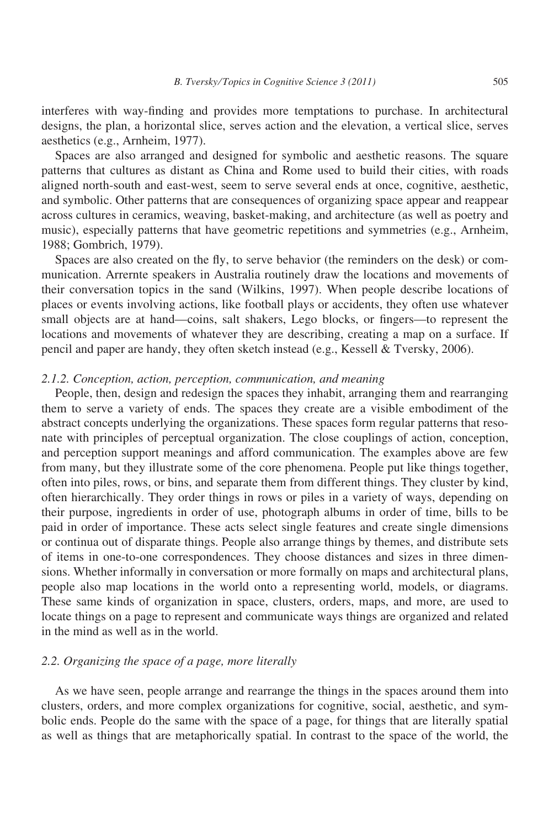interferes with way-finding and provides more temptations to purchase. In architectural designs, the plan, a horizontal slice, serves action and the elevation, a vertical slice, serves aesthetics (e.g., Arnheim, 1977).

Spaces are also arranged and designed for symbolic and aesthetic reasons. The square patterns that cultures as distant as China and Rome used to build their cities, with roads aligned north-south and east-west, seem to serve several ends at once, cognitive, aesthetic, and symbolic. Other patterns that are consequences of organizing space appear and reappear across cultures in ceramics, weaving, basket-making, and architecture (as well as poetry and music), especially patterns that have geometric repetitions and symmetries (e.g., Arnheim, 1988; Gombrich, 1979).

Spaces are also created on the fly, to serve behavior (the reminders on the desk) or communication. Arrernte speakers in Australia routinely draw the locations and movements of their conversation topics in the sand (Wilkins, 1997). When people describe locations of places or events involving actions, like football plays or accidents, they often use whatever small objects are at hand—coins, salt shakers, Lego blocks, or fingers—to represent the locations and movements of whatever they are describing, creating a map on a surface. If pencil and paper are handy, they often sketch instead (e.g., Kessell & Tversky, 2006).

# 2.1.2. Conception, action, perception, communication, and meaning

People, then, design and redesign the spaces they inhabit, arranging them and rearranging them to serve a variety of ends. The spaces they create are a visible embodiment of the abstract concepts underlying the organizations. These spaces form regular patterns that resonate with principles of perceptual organization. The close couplings of action, conception, and perception support meanings and afford communication. The examples above are few from many, but they illustrate some of the core phenomena. People put like things together, often into piles, rows, or bins, and separate them from different things. They cluster by kind, often hierarchically. They order things in rows or piles in a variety of ways, depending on their purpose, ingredients in order of use, photograph albums in order of time, bills to be paid in order of importance. These acts select single features and create single dimensions or continua out of disparate things. People also arrange things by themes, and distribute sets of items in one-to-one correspondences. They choose distances and sizes in three dimensions. Whether informally in conversation or more formally on maps and architectural plans, people also map locations in the world onto a representing world, models, or diagrams. These same kinds of organization in space, clusters, orders, maps, and more, are used to locate things on a page to represent and communicate ways things are organized and related in the mind as well as in the world.

# 2.2. Organizing the space of a page, more literally

As we have seen, people arrange and rearrange the things in the spaces around them into clusters, orders, and more complex organizations for cognitive, social, aesthetic, and symbolic ends. People do the same with the space of a page, for things that are literally spatial as well as things that are metaphorically spatial. In contrast to the space of the world, the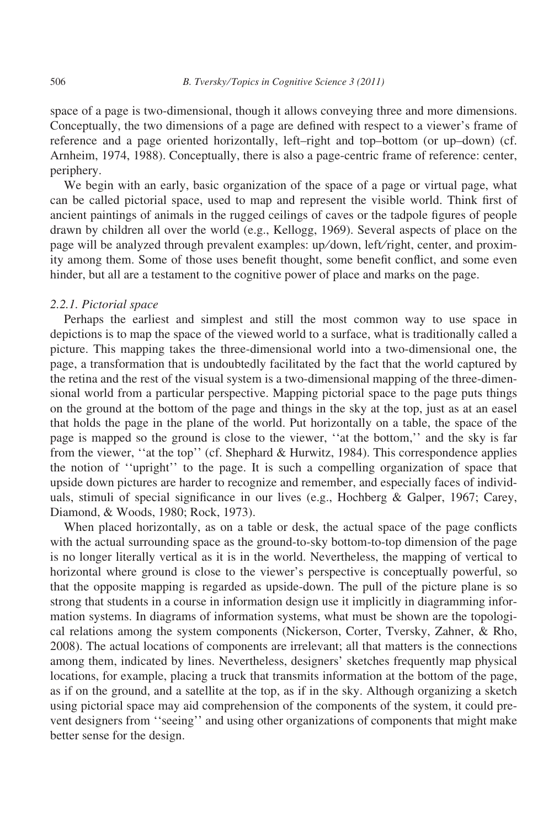space of a page is two-dimensional, though it allows conveying three and more dimensions. Conceptually, the two dimensions of a page are defined with respect to a viewer's frame of reference and a page oriented horizontally, left–right and top–bottom (or up–down) (cf. Arnheim, 1974, 1988). Conceptually, there is also a page-centric frame of reference: center, periphery.

We begin with an early, basic organization of the space of a page or virtual page, what can be called pictorial space, used to map and represent the visible world. Think first of ancient paintings of animals in the rugged ceilings of caves or the tadpole figures of people drawn by children all over the world (e.g., Kellogg, 1969). Several aspects of place on the page will be analyzed through prevalent examples: up ⁄ down, left⁄right, center, and proximity among them. Some of those uses benefit thought, some benefit conflict, and some even hinder, but all are a testament to the cognitive power of place and marks on the page.

#### 2.2.1. Pictorial space

Perhaps the earliest and simplest and still the most common way to use space in depictions is to map the space of the viewed world to a surface, what is traditionally called a picture. This mapping takes the three-dimensional world into a two-dimensional one, the page, a transformation that is undoubtedly facilitated by the fact that the world captured by the retina and the rest of the visual system is a two-dimensional mapping of the three-dimensional world from a particular perspective. Mapping pictorial space to the page puts things on the ground at the bottom of the page and things in the sky at the top, just as at an easel that holds the page in the plane of the world. Put horizontally on a table, the space of the page is mapped so the ground is close to the viewer, ''at the bottom,'' and the sky is far from the viewer, ''at the top'' (cf. Shephard & Hurwitz, 1984). This correspondence applies the notion of ''upright'' to the page. It is such a compelling organization of space that upside down pictures are harder to recognize and remember, and especially faces of individuals, stimuli of special significance in our lives (e.g., Hochberg & Galper, 1967; Carey, Diamond, & Woods, 1980; Rock, 1973).

When placed horizontally, as on a table or desk, the actual space of the page conflicts with the actual surrounding space as the ground-to-sky bottom-to-top dimension of the page is no longer literally vertical as it is in the world. Nevertheless, the mapping of vertical to horizontal where ground is close to the viewer's perspective is conceptually powerful, so that the opposite mapping is regarded as upside-down. The pull of the picture plane is so strong that students in a course in information design use it implicitly in diagramming information systems. In diagrams of information systems, what must be shown are the topological relations among the system components (Nickerson, Corter, Tversky, Zahner, & Rho, 2008). The actual locations of components are irrelevant; all that matters is the connections among them, indicated by lines. Nevertheless, designers' sketches frequently map physical locations, for example, placing a truck that transmits information at the bottom of the page, as if on the ground, and a satellite at the top, as if in the sky. Although organizing a sketch using pictorial space may aid comprehension of the components of the system, it could prevent designers from ''seeing'' and using other organizations of components that might make better sense for the design.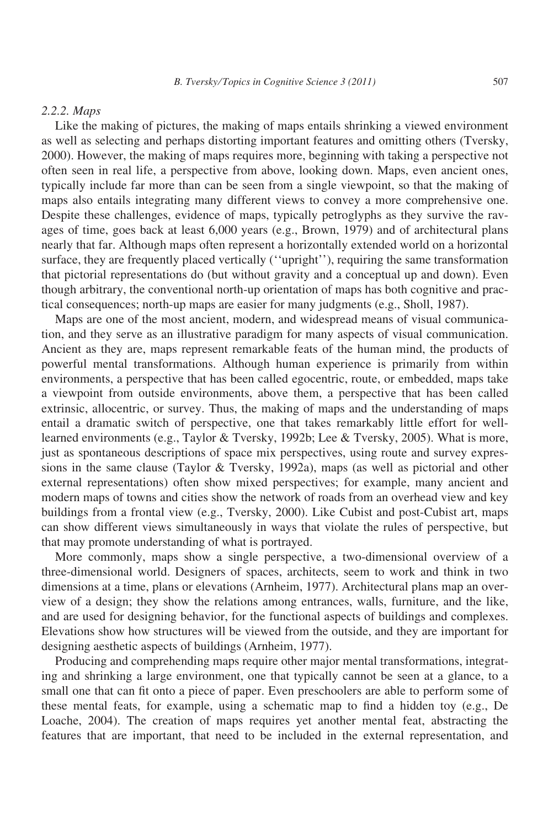#### 2.2.2. Maps

Like the making of pictures, the making of maps entails shrinking a viewed environment as well as selecting and perhaps distorting important features and omitting others (Tversky, 2000). However, the making of maps requires more, beginning with taking a perspective not often seen in real life, a perspective from above, looking down. Maps, even ancient ones, typically include far more than can be seen from a single viewpoint, so that the making of maps also entails integrating many different views to convey a more comprehensive one. Despite these challenges, evidence of maps, typically petroglyphs as they survive the ravages of time, goes back at least 6,000 years (e.g., Brown, 1979) and of architectural plans nearly that far. Although maps often represent a horizontally extended world on a horizontal surface, they are frequently placed vertically (''upright''), requiring the same transformation that pictorial representations do (but without gravity and a conceptual up and down). Even though arbitrary, the conventional north-up orientation of maps has both cognitive and practical consequences; north-up maps are easier for many judgments (e.g., Sholl, 1987).

Maps are one of the most ancient, modern, and widespread means of visual communication, and they serve as an illustrative paradigm for many aspects of visual communication. Ancient as they are, maps represent remarkable feats of the human mind, the products of powerful mental transformations. Although human experience is primarily from within environments, a perspective that has been called egocentric, route, or embedded, maps take a viewpoint from outside environments, above them, a perspective that has been called extrinsic, allocentric, or survey. Thus, the making of maps and the understanding of maps entail a dramatic switch of perspective, one that takes remarkably little effort for welllearned environments (e.g., Taylor & Tversky, 1992b; Lee & Tversky, 2005). What is more, just as spontaneous descriptions of space mix perspectives, using route and survey expressions in the same clause (Taylor & Tversky, 1992a), maps (as well as pictorial and other external representations) often show mixed perspectives; for example, many ancient and modern maps of towns and cities show the network of roads from an overhead view and key buildings from a frontal view (e.g., Tversky, 2000). Like Cubist and post-Cubist art, maps can show different views simultaneously in ways that violate the rules of perspective, but that may promote understanding of what is portrayed.

More commonly, maps show a single perspective, a two-dimensional overview of a three-dimensional world. Designers of spaces, architects, seem to work and think in two dimensions at a time, plans or elevations (Arnheim, 1977). Architectural plans map an overview of a design; they show the relations among entrances, walls, furniture, and the like, and are used for designing behavior, for the functional aspects of buildings and complexes. Elevations show how structures will be viewed from the outside, and they are important for designing aesthetic aspects of buildings (Arnheim, 1977).

Producing and comprehending maps require other major mental transformations, integrating and shrinking a large environment, one that typically cannot be seen at a glance, to a small one that can fit onto a piece of paper. Even preschoolers are able to perform some of these mental feats, for example, using a schematic map to find a hidden toy (e.g., De Loache, 2004). The creation of maps requires yet another mental feat, abstracting the features that are important, that need to be included in the external representation, and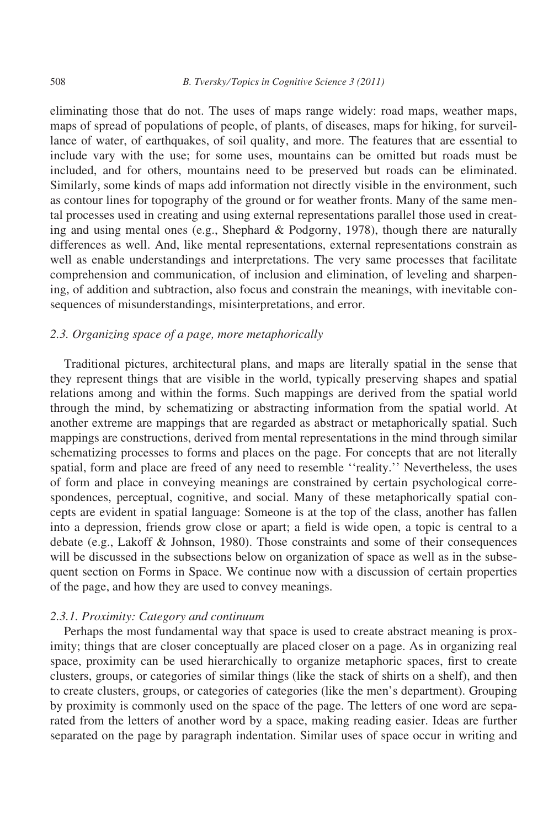eliminating those that do not. The uses of maps range widely: road maps, weather maps, maps of spread of populations of people, of plants, of diseases, maps for hiking, for surveillance of water, of earthquakes, of soil quality, and more. The features that are essential to include vary with the use; for some uses, mountains can be omitted but roads must be included, and for others, mountains need to be preserved but roads can be eliminated. Similarly, some kinds of maps add information not directly visible in the environment, such as contour lines for topography of the ground or for weather fronts. Many of the same mental processes used in creating and using external representations parallel those used in creating and using mental ones (e.g., Shephard & Podgorny, 1978), though there are naturally differences as well. And, like mental representations, external representations constrain as well as enable understandings and interpretations. The very same processes that facilitate comprehension and communication, of inclusion and elimination, of leveling and sharpening, of addition and subtraction, also focus and constrain the meanings, with inevitable consequences of misunderstandings, misinterpretations, and error.

# 2.3. Organizing space of a page, more metaphorically

Traditional pictures, architectural plans, and maps are literally spatial in the sense that they represent things that are visible in the world, typically preserving shapes and spatial relations among and within the forms. Such mappings are derived from the spatial world through the mind, by schematizing or abstracting information from the spatial world. At another extreme are mappings that are regarded as abstract or metaphorically spatial. Such mappings are constructions, derived from mental representations in the mind through similar schematizing processes to forms and places on the page. For concepts that are not literally spatial, form and place are freed of any need to resemble ''reality.'' Nevertheless, the uses of form and place in conveying meanings are constrained by certain psychological correspondences, perceptual, cognitive, and social. Many of these metaphorically spatial concepts are evident in spatial language: Someone is at the top of the class, another has fallen into a depression, friends grow close or apart; a field is wide open, a topic is central to a debate (e.g., Lakoff & Johnson, 1980). Those constraints and some of their consequences will be discussed in the subsections below on organization of space as well as in the subsequent section on Forms in Space. We continue now with a discussion of certain properties of the page, and how they are used to convey meanings.

#### 2.3.1. Proximity: Category and continuum

Perhaps the most fundamental way that space is used to create abstract meaning is proximity; things that are closer conceptually are placed closer on a page. As in organizing real space, proximity can be used hierarchically to organize metaphoric spaces, first to create clusters, groups, or categories of similar things (like the stack of shirts on a shelf), and then to create clusters, groups, or categories of categories (like the men's department). Grouping by proximity is commonly used on the space of the page. The letters of one word are separated from the letters of another word by a space, making reading easier. Ideas are further separated on the page by paragraph indentation. Similar uses of space occur in writing and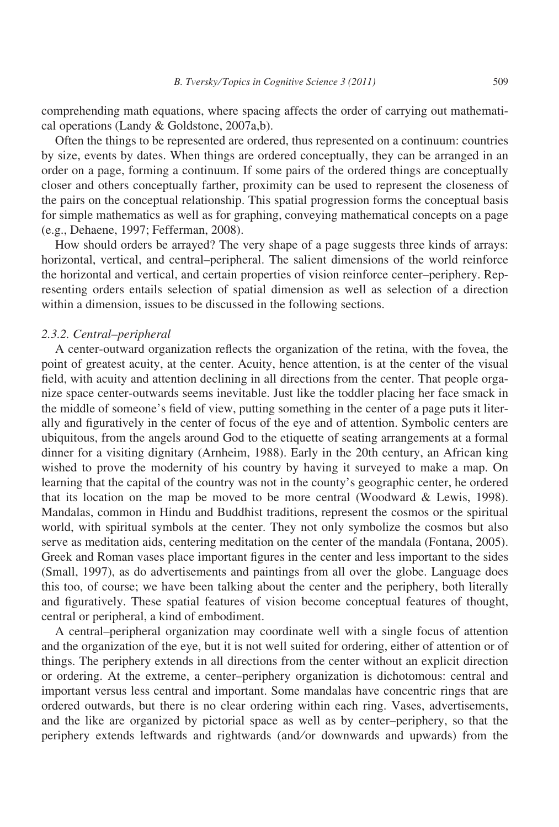comprehending math equations, where spacing affects the order of carrying out mathematical operations (Landy & Goldstone, 2007a,b).

Often the things to be represented are ordered, thus represented on a continuum: countries by size, events by dates. When things are ordered conceptually, they can be arranged in an order on a page, forming a continuum. If some pairs of the ordered things are conceptually closer and others conceptually farther, proximity can be used to represent the closeness of the pairs on the conceptual relationship. This spatial progression forms the conceptual basis for simple mathematics as well as for graphing, conveying mathematical concepts on a page (e.g., Dehaene, 1997; Fefferman, 2008).

How should orders be arrayed? The very shape of a page suggests three kinds of arrays: horizontal, vertical, and central–peripheral. The salient dimensions of the world reinforce the horizontal and vertical, and certain properties of vision reinforce center–periphery. Representing orders entails selection of spatial dimension as well as selection of a direction within a dimension, issues to be discussed in the following sections.

#### 2.3.2. Central–peripheral

A center-outward organization reflects the organization of the retina, with the fovea, the point of greatest acuity, at the center. Acuity, hence attention, is at the center of the visual field, with acuity and attention declining in all directions from the center. That people organize space center-outwards seems inevitable. Just like the toddler placing her face smack in the middle of someone's field of view, putting something in the center of a page puts it literally and figuratively in the center of focus of the eye and of attention. Symbolic centers are ubiquitous, from the angels around God to the etiquette of seating arrangements at a formal dinner for a visiting dignitary (Arnheim, 1988). Early in the 20th century, an African king wished to prove the modernity of his country by having it surveyed to make a map. On learning that the capital of the country was not in the county's geographic center, he ordered that its location on the map be moved to be more central (Woodward & Lewis, 1998). Mandalas, common in Hindu and Buddhist traditions, represent the cosmos or the spiritual world, with spiritual symbols at the center. They not only symbolize the cosmos but also serve as meditation aids, centering meditation on the center of the mandala (Fontana, 2005). Greek and Roman vases place important figures in the center and less important to the sides (Small, 1997), as do advertisements and paintings from all over the globe. Language does this too, of course; we have been talking about the center and the periphery, both literally and figuratively. These spatial features of vision become conceptual features of thought, central or peripheral, a kind of embodiment.

A central–peripheral organization may coordinate well with a single focus of attention and the organization of the eye, but it is not well suited for ordering, either of attention or of things. The periphery extends in all directions from the center without an explicit direction or ordering. At the extreme, a center–periphery organization is dichotomous: central and important versus less central and important. Some mandalas have concentric rings that are ordered outwards, but there is no clear ordering within each ring. Vases, advertisements, and the like are organized by pictorial space as well as by center–periphery, so that the periphery extends leftwards and rightwards (and ⁄ or downwards and upwards) from the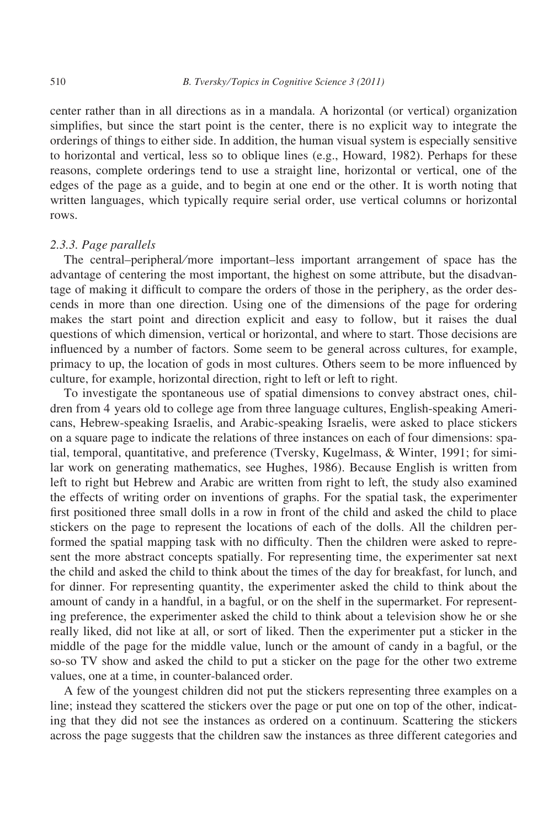center rather than in all directions as in a mandala. A horizontal (or vertical) organization simplifies, but since the start point is the center, there is no explicit way to integrate the orderings of things to either side. In addition, the human visual system is especially sensitive to horizontal and vertical, less so to oblique lines (e.g., Howard, 1982). Perhaps for these reasons, complete orderings tend to use a straight line, horizontal or vertical, one of the edges of the page as a guide, and to begin at one end or the other. It is worth noting that written languages, which typically require serial order, use vertical columns or horizontal rows.

#### 2.3.3. Page parallels

The central–peripheral⁄more important–less important arrangement of space has the advantage of centering the most important, the highest on some attribute, but the disadvantage of making it difficult to compare the orders of those in the periphery, as the order descends in more than one direction. Using one of the dimensions of the page for ordering makes the start point and direction explicit and easy to follow, but it raises the dual questions of which dimension, vertical or horizontal, and where to start. Those decisions are influenced by a number of factors. Some seem to be general across cultures, for example, primacy to up, the location of gods in most cultures. Others seem to be more influenced by culture, for example, horizontal direction, right to left or left to right.

To investigate the spontaneous use of spatial dimensions to convey abstract ones, children from 4 years old to college age from three language cultures, English-speaking Americans, Hebrew-speaking Israelis, and Arabic-speaking Israelis, were asked to place stickers on a square page to indicate the relations of three instances on each of four dimensions: spatial, temporal, quantitative, and preference (Tversky, Kugelmass, & Winter, 1991; for similar work on generating mathematics, see Hughes, 1986). Because English is written from left to right but Hebrew and Arabic are written from right to left, the study also examined the effects of writing order on inventions of graphs. For the spatial task, the experimenter first positioned three small dolls in a row in front of the child and asked the child to place stickers on the page to represent the locations of each of the dolls. All the children performed the spatial mapping task with no difficulty. Then the children were asked to represent the more abstract concepts spatially. For representing time, the experimenter sat next the child and asked the child to think about the times of the day for breakfast, for lunch, and for dinner. For representing quantity, the experimenter asked the child to think about the amount of candy in a handful, in a bagful, or on the shelf in the supermarket. For representing preference, the experimenter asked the child to think about a television show he or she really liked, did not like at all, or sort of liked. Then the experimenter put a sticker in the middle of the page for the middle value, lunch or the amount of candy in a bagful, or the so-so TV show and asked the child to put a sticker on the page for the other two extreme values, one at a time, in counter-balanced order.

A few of the youngest children did not put the stickers representing three examples on a line; instead they scattered the stickers over the page or put one on top of the other, indicating that they did not see the instances as ordered on a continuum. Scattering the stickers across the page suggests that the children saw the instances as three different categories and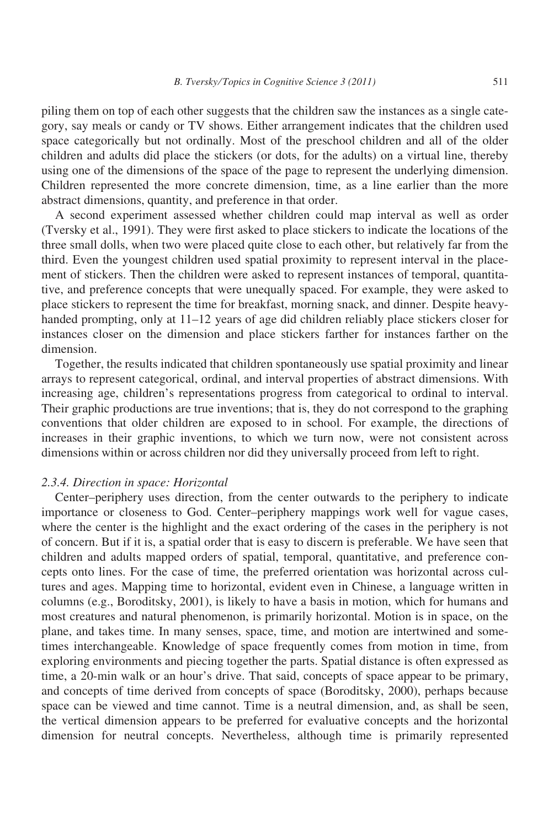piling them on top of each other suggests that the children saw the instances as a single category, say meals or candy or TV shows. Either arrangement indicates that the children used space categorically but not ordinally. Most of the preschool children and all of the older children and adults did place the stickers (or dots, for the adults) on a virtual line, thereby using one of the dimensions of the space of the page to represent the underlying dimension. Children represented the more concrete dimension, time, as a line earlier than the more abstract dimensions, quantity, and preference in that order.

A second experiment assessed whether children could map interval as well as order (Tversky et al., 1991). They were first asked to place stickers to indicate the locations of the three small dolls, when two were placed quite close to each other, but relatively far from the third. Even the youngest children used spatial proximity to represent interval in the placement of stickers. Then the children were asked to represent instances of temporal, quantitative, and preference concepts that were unequally spaced. For example, they were asked to place stickers to represent the time for breakfast, morning snack, and dinner. Despite heavyhanded prompting, only at 11–12 years of age did children reliably place stickers closer for instances closer on the dimension and place stickers farther for instances farther on the dimension.

Together, the results indicated that children spontaneously use spatial proximity and linear arrays to represent categorical, ordinal, and interval properties of abstract dimensions. With increasing age, children's representations progress from categorical to ordinal to interval. Their graphic productions are true inventions; that is, they do not correspond to the graphing conventions that older children are exposed to in school. For example, the directions of increases in their graphic inventions, to which we turn now, were not consistent across dimensions within or across children nor did they universally proceed from left to right.

#### 2.3.4. Direction in space: Horizontal

Center–periphery uses direction, from the center outwards to the periphery to indicate importance or closeness to God. Center–periphery mappings work well for vague cases, where the center is the highlight and the exact ordering of the cases in the periphery is not of concern. But if it is, a spatial order that is easy to discern is preferable. We have seen that children and adults mapped orders of spatial, temporal, quantitative, and preference concepts onto lines. For the case of time, the preferred orientation was horizontal across cultures and ages. Mapping time to horizontal, evident even in Chinese, a language written in columns (e.g., Boroditsky, 2001), is likely to have a basis in motion, which for humans and most creatures and natural phenomenon, is primarily horizontal. Motion is in space, on the plane, and takes time. In many senses, space, time, and motion are intertwined and sometimes interchangeable. Knowledge of space frequently comes from motion in time, from exploring environments and piecing together the parts. Spatial distance is often expressed as time, a 20-min walk or an hour's drive. That said, concepts of space appear to be primary, and concepts of time derived from concepts of space (Boroditsky, 2000), perhaps because space can be viewed and time cannot. Time is a neutral dimension, and, as shall be seen, the vertical dimension appears to be preferred for evaluative concepts and the horizontal dimension for neutral concepts. Nevertheless, although time is primarily represented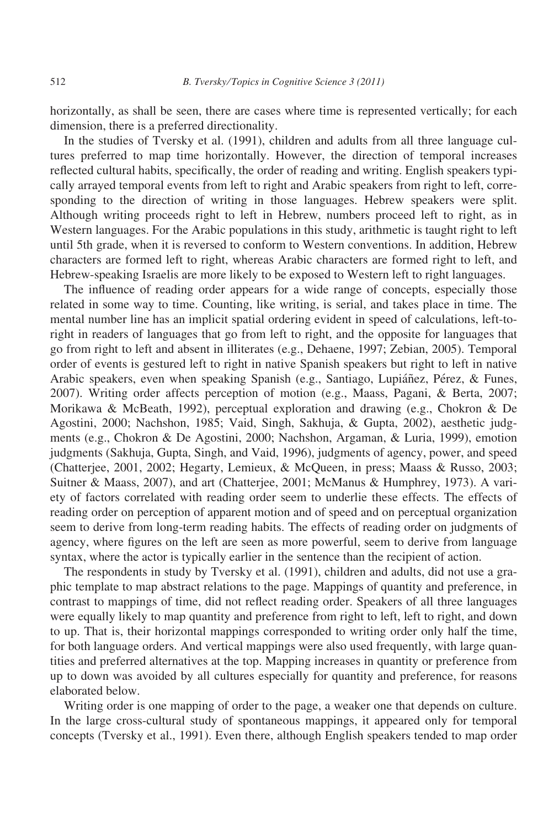horizontally, as shall be seen, there are cases where time is represented vertically; for each dimension, there is a preferred directionality.

In the studies of Tversky et al. (1991), children and adults from all three language cultures preferred to map time horizontally. However, the direction of temporal increases reflected cultural habits, specifically, the order of reading and writing. English speakers typically arrayed temporal events from left to right and Arabic speakers from right to left, corresponding to the direction of writing in those languages. Hebrew speakers were split. Although writing proceeds right to left in Hebrew, numbers proceed left to right, as in Western languages. For the Arabic populations in this study, arithmetic is taught right to left until 5th grade, when it is reversed to conform to Western conventions. In addition, Hebrew characters are formed left to right, whereas Arabic characters are formed right to left, and Hebrew-speaking Israelis are more likely to be exposed to Western left to right languages.

The influence of reading order appears for a wide range of concepts, especially those related in some way to time. Counting, like writing, is serial, and takes place in time. The mental number line has an implicit spatial ordering evident in speed of calculations, left-toright in readers of languages that go from left to right, and the opposite for languages that go from right to left and absent in illiterates (e.g., Dehaene, 1997; Zebian, 2005). Temporal order of events is gestured left to right in native Spanish speakers but right to left in native Arabic speakers, even when speaking Spanish (e.g., Santiago, Lupiáñez, Pérez, & Funes, 2007). Writing order affects perception of motion (e.g., Maass, Pagani, & Berta, 2007; Morikawa & McBeath, 1992), perceptual exploration and drawing (e.g., Chokron & De Agostini, 2000; Nachshon, 1985; Vaid, Singh, Sakhuja, & Gupta, 2002), aesthetic judgments (e.g., Chokron & De Agostini, 2000; Nachshon, Argaman, & Luria, 1999), emotion judgments (Sakhuja, Gupta, Singh, and Vaid, 1996), judgments of agency, power, and speed (Chatterjee, 2001, 2002; Hegarty, Lemieux, & McQueen, in press; Maass & Russo, 2003; Suitner & Maass, 2007), and art (Chatterjee, 2001; McManus & Humphrey, 1973). A variety of factors correlated with reading order seem to underlie these effects. The effects of reading order on perception of apparent motion and of speed and on perceptual organization seem to derive from long-term reading habits. The effects of reading order on judgments of agency, where figures on the left are seen as more powerful, seem to derive from language syntax, where the actor is typically earlier in the sentence than the recipient of action.

The respondents in study by Tversky et al. (1991), children and adults, did not use a graphic template to map abstract relations to the page. Mappings of quantity and preference, in contrast to mappings of time, did not reflect reading order. Speakers of all three languages were equally likely to map quantity and preference from right to left, left to right, and down to up. That is, their horizontal mappings corresponded to writing order only half the time, for both language orders. And vertical mappings were also used frequently, with large quantities and preferred alternatives at the top. Mapping increases in quantity or preference from up to down was avoided by all cultures especially for quantity and preference, for reasons elaborated below.

Writing order is one mapping of order to the page, a weaker one that depends on culture. In the large cross-cultural study of spontaneous mappings, it appeared only for temporal concepts (Tversky et al., 1991). Even there, although English speakers tended to map order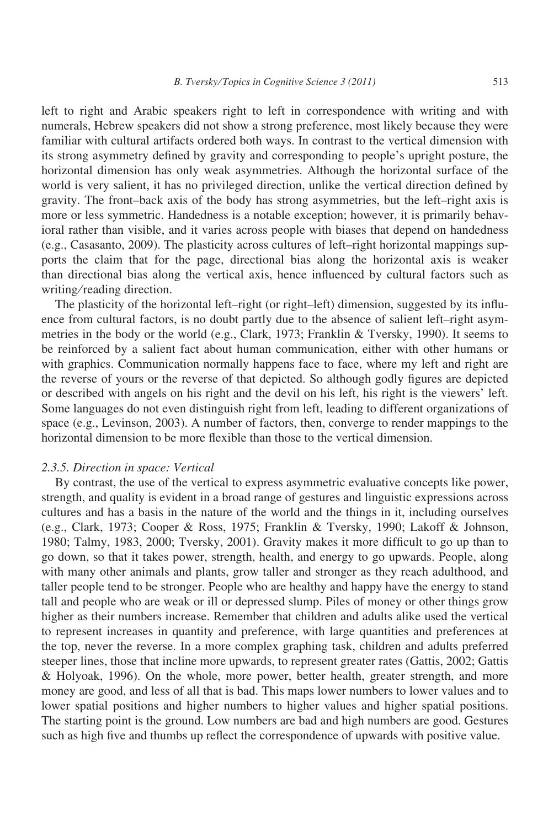left to right and Arabic speakers right to left in correspondence with writing and with numerals, Hebrew speakers did not show a strong preference, most likely because they were familiar with cultural artifacts ordered both ways. In contrast to the vertical dimension with its strong asymmetry defined by gravity and corresponding to people's upright posture, the horizontal dimension has only weak asymmetries. Although the horizontal surface of the world is very salient, it has no privileged direction, unlike the vertical direction defined by gravity. The front–back axis of the body has strong asymmetries, but the left–right axis is more or less symmetric. Handedness is a notable exception; however, it is primarily behavioral rather than visible, and it varies across people with biases that depend on handedness (e.g., Casasanto, 2009). The plasticity across cultures of left–right horizontal mappings supports the claim that for the page, directional bias along the horizontal axis is weaker than directional bias along the vertical axis, hence influenced by cultural factors such as writing/reading direction.

The plasticity of the horizontal left–right (or right–left) dimension, suggested by its influence from cultural factors, is no doubt partly due to the absence of salient left–right asymmetries in the body or the world (e.g., Clark, 1973; Franklin & Tversky, 1990). It seems to be reinforced by a salient fact about human communication, either with other humans or with graphics. Communication normally happens face to face, where my left and right are the reverse of yours or the reverse of that depicted. So although godly figures are depicted or described with angels on his right and the devil on his left, his right is the viewers' left. Some languages do not even distinguish right from left, leading to different organizations of space (e.g., Levinson, 2003). A number of factors, then, converge to render mappings to the horizontal dimension to be more flexible than those to the vertical dimension.

# 2.3.5. Direction in space: Vertical

By contrast, the use of the vertical to express asymmetric evaluative concepts like power, strength, and quality is evident in a broad range of gestures and linguistic expressions across cultures and has a basis in the nature of the world and the things in it, including ourselves (e.g., Clark, 1973; Cooper & Ross, 1975; Franklin & Tversky, 1990; Lakoff & Johnson, 1980; Talmy, 1983, 2000; Tversky, 2001). Gravity makes it more difficult to go up than to go down, so that it takes power, strength, health, and energy to go upwards. People, along with many other animals and plants, grow taller and stronger as they reach adulthood, and taller people tend to be stronger. People who are healthy and happy have the energy to stand tall and people who are weak or ill or depressed slump. Piles of money or other things grow higher as their numbers increase. Remember that children and adults alike used the vertical to represent increases in quantity and preference, with large quantities and preferences at the top, never the reverse. In a more complex graphing task, children and adults preferred steeper lines, those that incline more upwards, to represent greater rates (Gattis, 2002; Gattis & Holyoak, 1996). On the whole, more power, better health, greater strength, and more money are good, and less of all that is bad. This maps lower numbers to lower values and to lower spatial positions and higher numbers to higher values and higher spatial positions. The starting point is the ground. Low numbers are bad and high numbers are good. Gestures such as high five and thumbs up reflect the correspondence of upwards with positive value.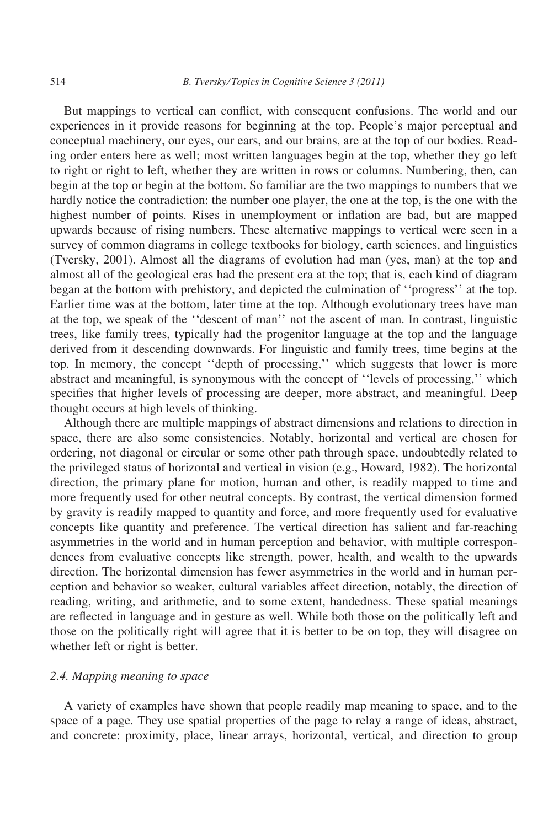But mappings to vertical can conflict, with consequent confusions. The world and our experiences in it provide reasons for beginning at the top. People's major perceptual and conceptual machinery, our eyes, our ears, and our brains, are at the top of our bodies. Reading order enters here as well; most written languages begin at the top, whether they go left to right or right to left, whether they are written in rows or columns. Numbering, then, can begin at the top or begin at the bottom. So familiar are the two mappings to numbers that we hardly notice the contradiction: the number one player, the one at the top, is the one with the highest number of points. Rises in unemployment or inflation are bad, but are mapped upwards because of rising numbers. These alternative mappings to vertical were seen in a survey of common diagrams in college textbooks for biology, earth sciences, and linguistics (Tversky, 2001). Almost all the diagrams of evolution had man (yes, man) at the top and almost all of the geological eras had the present era at the top; that is, each kind of diagram began at the bottom with prehistory, and depicted the culmination of ''progress'' at the top. Earlier time was at the bottom, later time at the top. Although evolutionary trees have man at the top, we speak of the ''descent of man'' not the ascent of man. In contrast, linguistic trees, like family trees, typically had the progenitor language at the top and the language derived from it descending downwards. For linguistic and family trees, time begins at the top. In memory, the concept ''depth of processing,'' which suggests that lower is more abstract and meaningful, is synonymous with the concept of ''levels of processing,'' which specifies that higher levels of processing are deeper, more abstract, and meaningful. Deep thought occurs at high levels of thinking.

Although there are multiple mappings of abstract dimensions and relations to direction in space, there are also some consistencies. Notably, horizontal and vertical are chosen for ordering, not diagonal or circular or some other path through space, undoubtedly related to the privileged status of horizontal and vertical in vision (e.g., Howard, 1982). The horizontal direction, the primary plane for motion, human and other, is readily mapped to time and more frequently used for other neutral concepts. By contrast, the vertical dimension formed by gravity is readily mapped to quantity and force, and more frequently used for evaluative concepts like quantity and preference. The vertical direction has salient and far-reaching asymmetries in the world and in human perception and behavior, with multiple correspondences from evaluative concepts like strength, power, health, and wealth to the upwards direction. The horizontal dimension has fewer asymmetries in the world and in human perception and behavior so weaker, cultural variables affect direction, notably, the direction of reading, writing, and arithmetic, and to some extent, handedness. These spatial meanings are reflected in language and in gesture as well. While both those on the politically left and those on the politically right will agree that it is better to be on top, they will disagree on whether left or right is better.

#### 2.4. Mapping meaning to space

A variety of examples have shown that people readily map meaning to space, and to the space of a page. They use spatial properties of the page to relay a range of ideas, abstract, and concrete: proximity, place, linear arrays, horizontal, vertical, and direction to group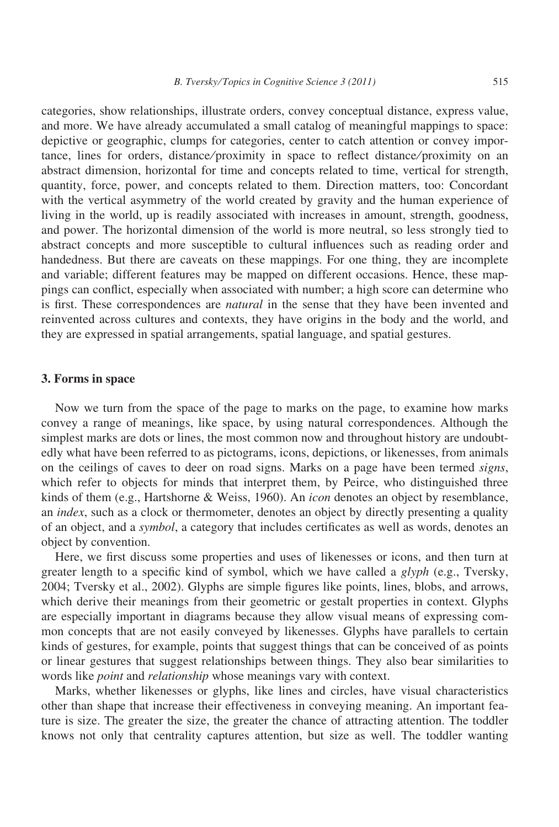categories, show relationships, illustrate orders, convey conceptual distance, express value, and more. We have already accumulated a small catalog of meaningful mappings to space: depictive or geographic, clumps for categories, center to catch attention or convey importance, lines for orders, distance/proximity in space to reflect distance/proximity on an abstract dimension, horizontal for time and concepts related to time, vertical for strength, quantity, force, power, and concepts related to them. Direction matters, too: Concordant with the vertical asymmetry of the world created by gravity and the human experience of living in the world, up is readily associated with increases in amount, strength, goodness, and power. The horizontal dimension of the world is more neutral, so less strongly tied to abstract concepts and more susceptible to cultural influences such as reading order and handedness. But there are caveats on these mappings. For one thing, they are incomplete and variable; different features may be mapped on different occasions. Hence, these mappings can conflict, especially when associated with number; a high score can determine who is first. These correspondences are *natural* in the sense that they have been invented and reinvented across cultures and contexts, they have origins in the body and the world, and they are expressed in spatial arrangements, spatial language, and spatial gestures.

# 3. Forms in space

Now we turn from the space of the page to marks on the page, to examine how marks convey a range of meanings, like space, by using natural correspondences. Although the simplest marks are dots or lines, the most common now and throughout history are undoubtedly what have been referred to as pictograms, icons, depictions, or likenesses, from animals on the ceilings of caves to deer on road signs. Marks on a page have been termed signs, which refer to objects for minds that interpret them, by Peirce, who distinguished three kinds of them (e.g., Hartshorne & Weiss, 1960). An icon denotes an object by resemblance, an *index*, such as a clock or thermometer, denotes an object by directly presenting a quality of an object, and a symbol, a category that includes certificates as well as words, denotes an object by convention.

Here, we first discuss some properties and uses of likenesses or icons, and then turn at greater length to a specific kind of symbol, which we have called a  $glyph$  (e.g., Tversky, 2004; Tversky et al., 2002). Glyphs are simple figures like points, lines, blobs, and arrows, which derive their meanings from their geometric or gestalt properties in context. Glyphs are especially important in diagrams because they allow visual means of expressing common concepts that are not easily conveyed by likenesses. Glyphs have parallels to certain kinds of gestures, for example, points that suggest things that can be conceived of as points or linear gestures that suggest relationships between things. They also bear similarities to words like point and relationship whose meanings vary with context.

Marks, whether likenesses or glyphs, like lines and circles, have visual characteristics other than shape that increase their effectiveness in conveying meaning. An important feature is size. The greater the size, the greater the chance of attracting attention. The toddler knows not only that centrality captures attention, but size as well. The toddler wanting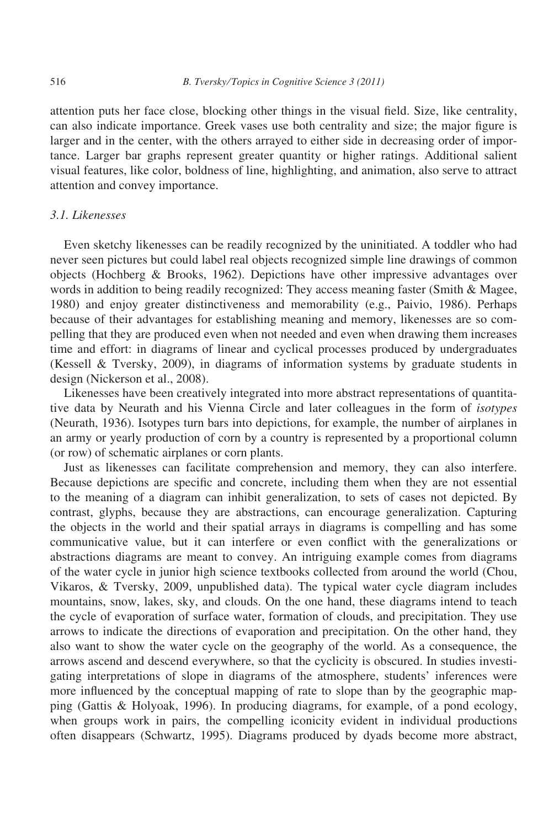attention puts her face close, blocking other things in the visual field. Size, like centrality, can also indicate importance. Greek vases use both centrality and size; the major figure is larger and in the center, with the others arrayed to either side in decreasing order of importance. Larger bar graphs represent greater quantity or higher ratings. Additional salient visual features, like color, boldness of line, highlighting, and animation, also serve to attract attention and convey importance.

# 3.1. Likenesses

Even sketchy likenesses can be readily recognized by the uninitiated. A toddler who had never seen pictures but could label real objects recognized simple line drawings of common objects (Hochberg & Brooks, 1962). Depictions have other impressive advantages over words in addition to being readily recognized: They access meaning faster (Smith & Magee, 1980) and enjoy greater distinctiveness and memorability (e.g., Paivio, 1986). Perhaps because of their advantages for establishing meaning and memory, likenesses are so compelling that they are produced even when not needed and even when drawing them increases time and effort: in diagrams of linear and cyclical processes produced by undergraduates (Kessell & Tversky, 2009), in diagrams of information systems by graduate students in design (Nickerson et al., 2008).

Likenesses have been creatively integrated into more abstract representations of quantitative data by Neurath and his Vienna Circle and later colleagues in the form of isotypes (Neurath, 1936). Isotypes turn bars into depictions, for example, the number of airplanes in an army or yearly production of corn by a country is represented by a proportional column (or row) of schematic airplanes or corn plants.

Just as likenesses can facilitate comprehension and memory, they can also interfere. Because depictions are specific and concrete, including them when they are not essential to the meaning of a diagram can inhibit generalization, to sets of cases not depicted. By contrast, glyphs, because they are abstractions, can encourage generalization. Capturing the objects in the world and their spatial arrays in diagrams is compelling and has some communicative value, but it can interfere or even conflict with the generalizations or abstractions diagrams are meant to convey. An intriguing example comes from diagrams of the water cycle in junior high science textbooks collected from around the world (Chou, Vikaros, & Tversky, 2009, unpublished data). The typical water cycle diagram includes mountains, snow, lakes, sky, and clouds. On the one hand, these diagrams intend to teach the cycle of evaporation of surface water, formation of clouds, and precipitation. They use arrows to indicate the directions of evaporation and precipitation. On the other hand, they also want to show the water cycle on the geography of the world. As a consequence, the arrows ascend and descend everywhere, so that the cyclicity is obscured. In studies investigating interpretations of slope in diagrams of the atmosphere, students' inferences were more influenced by the conceptual mapping of rate to slope than by the geographic mapping (Gattis & Holyoak, 1996). In producing diagrams, for example, of a pond ecology, when groups work in pairs, the compelling iconicity evident in individual productions often disappears (Schwartz, 1995). Diagrams produced by dyads become more abstract,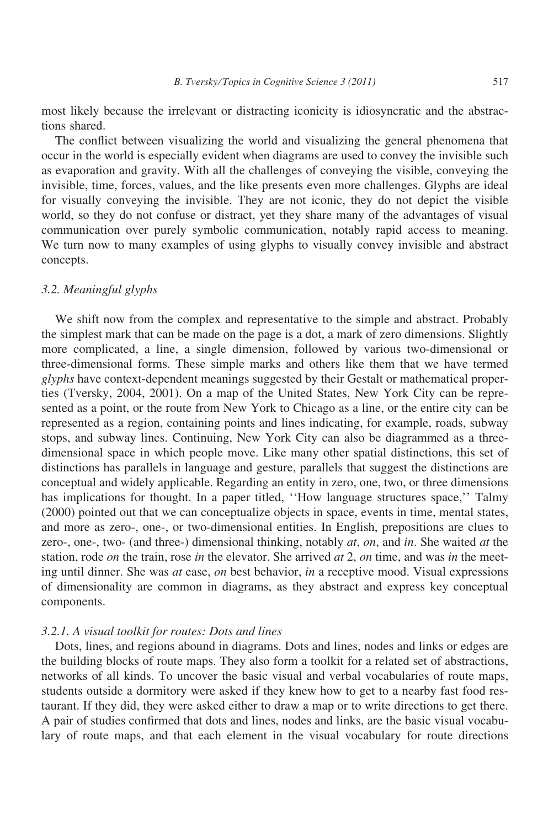most likely because the irrelevant or distracting iconicity is idiosyncratic and the abstractions shared.

The conflict between visualizing the world and visualizing the general phenomena that occur in the world is especially evident when diagrams are used to convey the invisible such as evaporation and gravity. With all the challenges of conveying the visible, conveying the invisible, time, forces, values, and the like presents even more challenges. Glyphs are ideal for visually conveying the invisible. They are not iconic, they do not depict the visible world, so they do not confuse or distract, yet they share many of the advantages of visual communication over purely symbolic communication, notably rapid access to meaning. We turn now to many examples of using glyphs to visually convey invisible and abstract concepts.

# 3.2. Meaningful glyphs

We shift now from the complex and representative to the simple and abstract. Probably the simplest mark that can be made on the page is a dot, a mark of zero dimensions. Slightly more complicated, a line, a single dimension, followed by various two-dimensional or three-dimensional forms. These simple marks and others like them that we have termed glyphs have context-dependent meanings suggested by their Gestalt or mathematical properties (Tversky, 2004, 2001). On a map of the United States, New York City can be represented as a point, or the route from New York to Chicago as a line, or the entire city can be represented as a region, containing points and lines indicating, for example, roads, subway stops, and subway lines. Continuing, New York City can also be diagrammed as a threedimensional space in which people move. Like many other spatial distinctions, this set of distinctions has parallels in language and gesture, parallels that suggest the distinctions are conceptual and widely applicable. Regarding an entity in zero, one, two, or three dimensions has implications for thought. In a paper titled, ''How language structures space,'' Talmy (2000) pointed out that we can conceptualize objects in space, events in time, mental states, and more as zero-, one-, or two-dimensional entities. In English, prepositions are clues to zero-, one-, two- (and three-) dimensional thinking, notably  $at$ , on, and in. She waited  $at$  the station, rode *on* the train, rose *in* the elevator. She arrived *at* 2, *on* time, and was *in* the meeting until dinner. She was *at* ease, *on* best behavior, *in* a receptive mood. Visual expressions of dimensionality are common in diagrams, as they abstract and express key conceptual components.

#### 3.2.1. A visual toolkit for routes: Dots and lines

Dots, lines, and regions abound in diagrams. Dots and lines, nodes and links or edges are the building blocks of route maps. They also form a toolkit for a related set of abstractions, networks of all kinds. To uncover the basic visual and verbal vocabularies of route maps, students outside a dormitory were asked if they knew how to get to a nearby fast food restaurant. If they did, they were asked either to draw a map or to write directions to get there. A pair of studies confirmed that dots and lines, nodes and links, are the basic visual vocabulary of route maps, and that each element in the visual vocabulary for route directions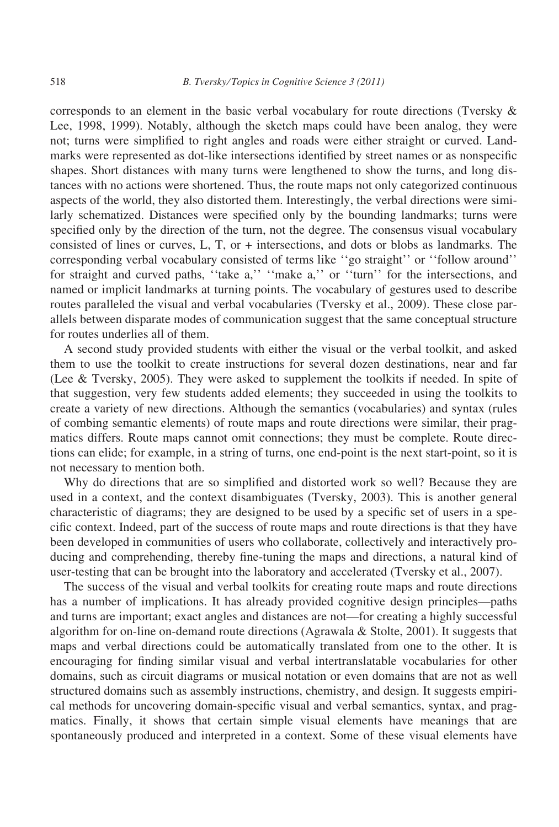corresponds to an element in the basic verbal vocabulary for route directions (Tversky & Lee, 1998, 1999). Notably, although the sketch maps could have been analog, they were not; turns were simplified to right angles and roads were either straight or curved. Landmarks were represented as dot-like intersections identified by street names or as nonspecific shapes. Short distances with many turns were lengthened to show the turns, and long distances with no actions were shortened. Thus, the route maps not only categorized continuous aspects of the world, they also distorted them. Interestingly, the verbal directions were similarly schematized. Distances were specified only by the bounding landmarks; turns were specified only by the direction of the turn, not the degree. The consensus visual vocabulary consisted of lines or curves, L, T, or + intersections, and dots or blobs as landmarks. The corresponding verbal vocabulary consisted of terms like ''go straight'' or ''follow around'' for straight and curved paths, "take a," "make a," or "turn" for the intersections, and named or implicit landmarks at turning points. The vocabulary of gestures used to describe routes paralleled the visual and verbal vocabularies (Tversky et al., 2009). These close parallels between disparate modes of communication suggest that the same conceptual structure for routes underlies all of them.

A second study provided students with either the visual or the verbal toolkit, and asked them to use the toolkit to create instructions for several dozen destinations, near and far (Lee & Tversky, 2005). They were asked to supplement the toolkits if needed. In spite of that suggestion, very few students added elements; they succeeded in using the toolkits to create a variety of new directions. Although the semantics (vocabularies) and syntax (rules of combing semantic elements) of route maps and route directions were similar, their pragmatics differs. Route maps cannot omit connections; they must be complete. Route directions can elide; for example, in a string of turns, one end-point is the next start-point, so it is not necessary to mention both.

Why do directions that are so simplified and distorted work so well? Because they are used in a context, and the context disambiguates (Tversky, 2003). This is another general characteristic of diagrams; they are designed to be used by a specific set of users in a specific context. Indeed, part of the success of route maps and route directions is that they have been developed in communities of users who collaborate, collectively and interactively producing and comprehending, thereby fine-tuning the maps and directions, a natural kind of user-testing that can be brought into the laboratory and accelerated (Tversky et al., 2007).

The success of the visual and verbal toolkits for creating route maps and route directions has a number of implications. It has already provided cognitive design principles—paths and turns are important; exact angles and distances are not—for creating a highly successful algorithm for on-line on-demand route directions (Agrawala & Stolte, 2001). It suggests that maps and verbal directions could be automatically translated from one to the other. It is encouraging for finding similar visual and verbal intertranslatable vocabularies for other domains, such as circuit diagrams or musical notation or even domains that are not as well structured domains such as assembly instructions, chemistry, and design. It suggests empirical methods for uncovering domain-specific visual and verbal semantics, syntax, and pragmatics. Finally, it shows that certain simple visual elements have meanings that are spontaneously produced and interpreted in a context. Some of these visual elements have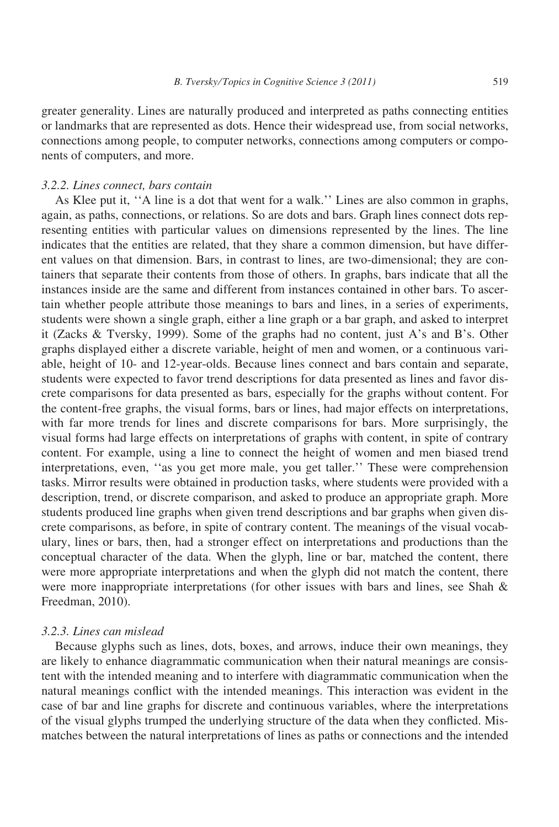greater generality. Lines are naturally produced and interpreted as paths connecting entities or landmarks that are represented as dots. Hence their widespread use, from social networks, connections among people, to computer networks, connections among computers or components of computers, and more.

# 3.2.2. Lines connect, bars contain

As Klee put it, ''A line is a dot that went for a walk.'' Lines are also common in graphs, again, as paths, connections, or relations. So are dots and bars. Graph lines connect dots representing entities with particular values on dimensions represented by the lines. The line indicates that the entities are related, that they share a common dimension, but have different values on that dimension. Bars, in contrast to lines, are two-dimensional; they are containers that separate their contents from those of others. In graphs, bars indicate that all the instances inside are the same and different from instances contained in other bars. To ascertain whether people attribute those meanings to bars and lines, in a series of experiments, students were shown a single graph, either a line graph or a bar graph, and asked to interpret it (Zacks & Tversky, 1999). Some of the graphs had no content, just A's and B's. Other graphs displayed either a discrete variable, height of men and women, or a continuous variable, height of 10- and 12-year-olds. Because lines connect and bars contain and separate, students were expected to favor trend descriptions for data presented as lines and favor discrete comparisons for data presented as bars, especially for the graphs without content. For the content-free graphs, the visual forms, bars or lines, had major effects on interpretations, with far more trends for lines and discrete comparisons for bars. More surprisingly, the visual forms had large effects on interpretations of graphs with content, in spite of contrary content. For example, using a line to connect the height of women and men biased trend interpretations, even, ''as you get more male, you get taller.'' These were comprehension tasks. Mirror results were obtained in production tasks, where students were provided with a description, trend, or discrete comparison, and asked to produce an appropriate graph. More students produced line graphs when given trend descriptions and bar graphs when given discrete comparisons, as before, in spite of contrary content. The meanings of the visual vocabulary, lines or bars, then, had a stronger effect on interpretations and productions than the conceptual character of the data. When the glyph, line or bar, matched the content, there were more appropriate interpretations and when the glyph did not match the content, there were more inappropriate interpretations (for other issues with bars and lines, see Shah  $\&$ Freedman, 2010).

#### 3.2.3. Lines can mislead

Because glyphs such as lines, dots, boxes, and arrows, induce their own meanings, they are likely to enhance diagrammatic communication when their natural meanings are consistent with the intended meaning and to interfere with diagrammatic communication when the natural meanings conflict with the intended meanings. This interaction was evident in the case of bar and line graphs for discrete and continuous variables, where the interpretations of the visual glyphs trumped the underlying structure of the data when they conflicted. Mismatches between the natural interpretations of lines as paths or connections and the intended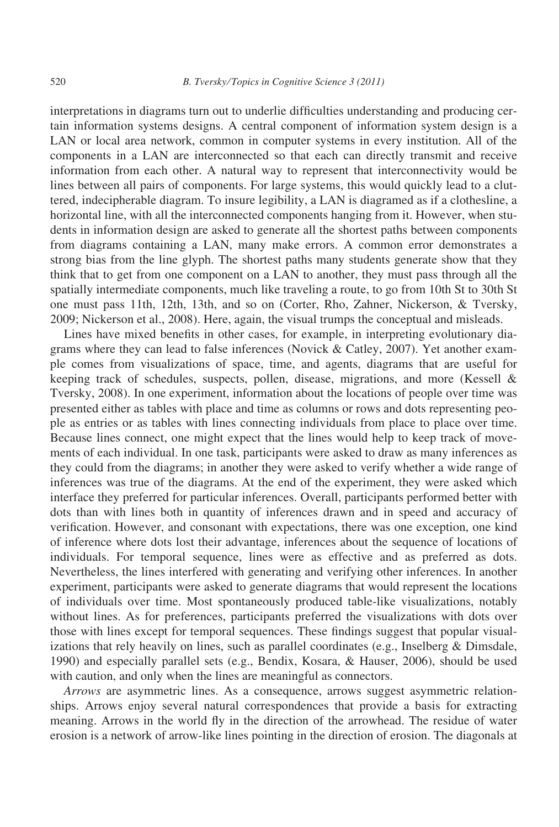interpretations in diagrams turn out to underlie difficulties understanding and producing certain information systems designs. A central component of information system design is a LAN or local area network, common in computer systems in every institution. All of the components in a LAN are interconnected so that each can directly transmit and receive information from each other. A natural way to represent that interconnectivity would be lines between all pairs of components. For large systems, this would quickly lead to a cluttered, indecipherable diagram. To insure legibility, a LAN is diagramed as if a clothesline, a horizontal line, with all the interconnected components hanging from it. However, when students in information design are asked to generate all the shortest paths between components from diagrams containing a LAN, many make errors. A common error demonstrates a strong bias from the line glyph. The shortest paths many students generate show that they think that to get from one component on a LAN to another, they must pass through all the spatially intermediate components, much like traveling a route, to go from 10th St to 30th St one must pass 11th, 12th, 13th, and so on (Corter, Rho, Zahner, Nickerson, & Tversky, 2009; Nickerson et al., 2008). Here, again, the visual trumps the conceptual and misleads.

Lines have mixed benefits in other cases, for example, in interpreting evolutionary diagrams where they can lead to false inferences (Novick & Catley, 2007). Yet another example comes from visualizations of space, time, and agents, diagrams that are useful for keeping track of schedules, suspects, pollen, disease, migrations, and more (Kessell & Tversky, 2008). In one experiment, information about the locations of people over time was presented either as tables with place and time as columns or rows and dots representing people as entries or as tables with lines connecting individuals from place to place over time. Because lines connect, one might expect that the lines would help to keep track of movements of each individual. In one task, participants were asked to draw as many inferences as they could from the diagrams; in another they were asked to verify whether a wide range of inferences was true of the diagrams. At the end of the experiment, they were asked which interface they preferred for particular inferences. Overall, participants performed better with dots than with lines both in quantity of inferences drawn and in speed and accuracy of verification. However, and consonant with expectations, there was one exception, one kind of inference where dots lost their advantage, inferences about the sequence of locations of individuals. For temporal sequence, lines were as effective and as preferred as dots. Nevertheless, the lines interfered with generating and verifying other inferences. In another experiment, participants were asked to generate diagrams that would represent the locations of individuals over time. Most spontaneously produced table-like visualizations, notably without lines. As for preferences, participants preferred the visualizations with dots over those with lines except for temporal sequences. These findings suggest that popular visualizations that rely heavily on lines, such as parallel coordinates (e.g., Inselberg  $\&$  Dimsdale, 1990) and especially parallel sets (e.g., Bendix, Kosara, & Hauser, 2006), should be used with caution, and only when the lines are meaningful as connectors.

Arrows are asymmetric lines. As a consequence, arrows suggest asymmetric relationships. Arrows enjoy several natural correspondences that provide a basis for extracting meaning. Arrows in the world fly in the direction of the arrowhead. The residue of water erosion is a network of arrow-like lines pointing in the direction of erosion. The diagonals at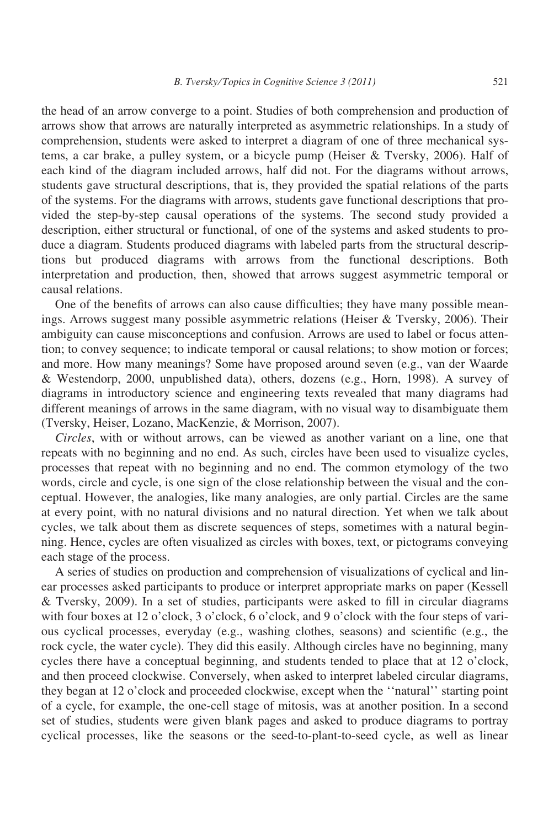the head of an arrow converge to a point. Studies of both comprehension and production of arrows show that arrows are naturally interpreted as asymmetric relationships. In a study of comprehension, students were asked to interpret a diagram of one of three mechanical systems, a car brake, a pulley system, or a bicycle pump (Heiser & Tversky, 2006). Half of each kind of the diagram included arrows, half did not. For the diagrams without arrows, students gave structural descriptions, that is, they provided the spatial relations of the parts of the systems. For the diagrams with arrows, students gave functional descriptions that provided the step-by-step causal operations of the systems. The second study provided a description, either structural or functional, of one of the systems and asked students to produce a diagram. Students produced diagrams with labeled parts from the structural descriptions but produced diagrams with arrows from the functional descriptions. Both interpretation and production, then, showed that arrows suggest asymmetric temporal or causal relations.

One of the benefits of arrows can also cause difficulties; they have many possible meanings. Arrows suggest many possible asymmetric relations (Heiser & Tversky, 2006). Their ambiguity can cause misconceptions and confusion. Arrows are used to label or focus attention; to convey sequence; to indicate temporal or causal relations; to show motion or forces; and more. How many meanings? Some have proposed around seven (e.g., van der Waarde & Westendorp, 2000, unpublished data), others, dozens (e.g., Horn, 1998). A survey of diagrams in introductory science and engineering texts revealed that many diagrams had different meanings of arrows in the same diagram, with no visual way to disambiguate them (Tversky, Heiser, Lozano, MacKenzie, & Morrison, 2007).

Circles, with or without arrows, can be viewed as another variant on a line, one that repeats with no beginning and no end. As such, circles have been used to visualize cycles, processes that repeat with no beginning and no end. The common etymology of the two words, circle and cycle, is one sign of the close relationship between the visual and the conceptual. However, the analogies, like many analogies, are only partial. Circles are the same at every point, with no natural divisions and no natural direction. Yet when we talk about cycles, we talk about them as discrete sequences of steps, sometimes with a natural beginning. Hence, cycles are often visualized as circles with boxes, text, or pictograms conveying each stage of the process.

A series of studies on production and comprehension of visualizations of cyclical and linear processes asked participants to produce or interpret appropriate marks on paper (Kessell & Tversky, 2009). In a set of studies, participants were asked to fill in circular diagrams with four boxes at 12 o'clock, 3 o'clock, 6 o'clock, and 9 o'clock with the four steps of various cyclical processes, everyday (e.g., washing clothes, seasons) and scientific (e.g., the rock cycle, the water cycle). They did this easily. Although circles have no beginning, many cycles there have a conceptual beginning, and students tended to place that at 12 o'clock, and then proceed clockwise. Conversely, when asked to interpret labeled circular diagrams, they began at 12 o'clock and proceeded clockwise, except when the ''natural'' starting point of a cycle, for example, the one-cell stage of mitosis, was at another position. In a second set of studies, students were given blank pages and asked to produce diagrams to portray cyclical processes, like the seasons or the seed-to-plant-to-seed cycle, as well as linear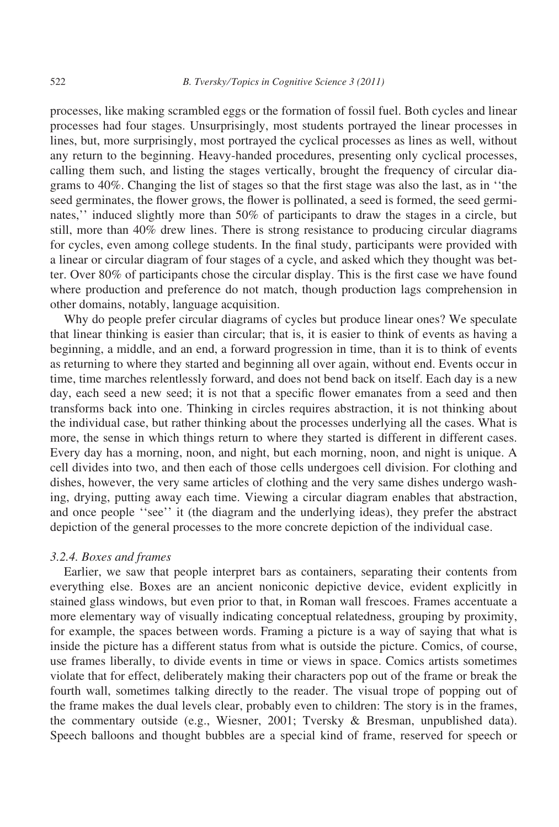processes, like making scrambled eggs or the formation of fossil fuel. Both cycles and linear processes had four stages. Unsurprisingly, most students portrayed the linear processes in lines, but, more surprisingly, most portrayed the cyclical processes as lines as well, without any return to the beginning. Heavy-handed procedures, presenting only cyclical processes, calling them such, and listing the stages vertically, brought the frequency of circular diagrams to 40%. Changing the list of stages so that the first stage was also the last, as in ''the seed germinates, the flower grows, the flower is pollinated, a seed is formed, the seed germinates,'' induced slightly more than 50% of participants to draw the stages in a circle, but still, more than 40% drew lines. There is strong resistance to producing circular diagrams for cycles, even among college students. In the final study, participants were provided with a linear or circular diagram of four stages of a cycle, and asked which they thought was better. Over 80% of participants chose the circular display. This is the first case we have found where production and preference do not match, though production lags comprehension in other domains, notably, language acquisition.

Why do people prefer circular diagrams of cycles but produce linear ones? We speculate that linear thinking is easier than circular; that is, it is easier to think of events as having a beginning, a middle, and an end, a forward progression in time, than it is to think of events as returning to where they started and beginning all over again, without end. Events occur in time, time marches relentlessly forward, and does not bend back on itself. Each day is a new day, each seed a new seed; it is not that a specific flower emanates from a seed and then transforms back into one. Thinking in circles requires abstraction, it is not thinking about the individual case, but rather thinking about the processes underlying all the cases. What is more, the sense in which things return to where they started is different in different cases. Every day has a morning, noon, and night, but each morning, noon, and night is unique. A cell divides into two, and then each of those cells undergoes cell division. For clothing and dishes, however, the very same articles of clothing and the very same dishes undergo washing, drying, putting away each time. Viewing a circular diagram enables that abstraction, and once people ''see'' it (the diagram and the underlying ideas), they prefer the abstract depiction of the general processes to the more concrete depiction of the individual case.

# 3.2.4. Boxes and frames

Earlier, we saw that people interpret bars as containers, separating their contents from everything else. Boxes are an ancient noniconic depictive device, evident explicitly in stained glass windows, but even prior to that, in Roman wall frescoes. Frames accentuate a more elementary way of visually indicating conceptual relatedness, grouping by proximity, for example, the spaces between words. Framing a picture is a way of saying that what is inside the picture has a different status from what is outside the picture. Comics, of course, use frames liberally, to divide events in time or views in space. Comics artists sometimes violate that for effect, deliberately making their characters pop out of the frame or break the fourth wall, sometimes talking directly to the reader. The visual trope of popping out of the frame makes the dual levels clear, probably even to children: The story is in the frames, the commentary outside (e.g., Wiesner, 2001; Tversky & Bresman, unpublished data). Speech balloons and thought bubbles are a special kind of frame, reserved for speech or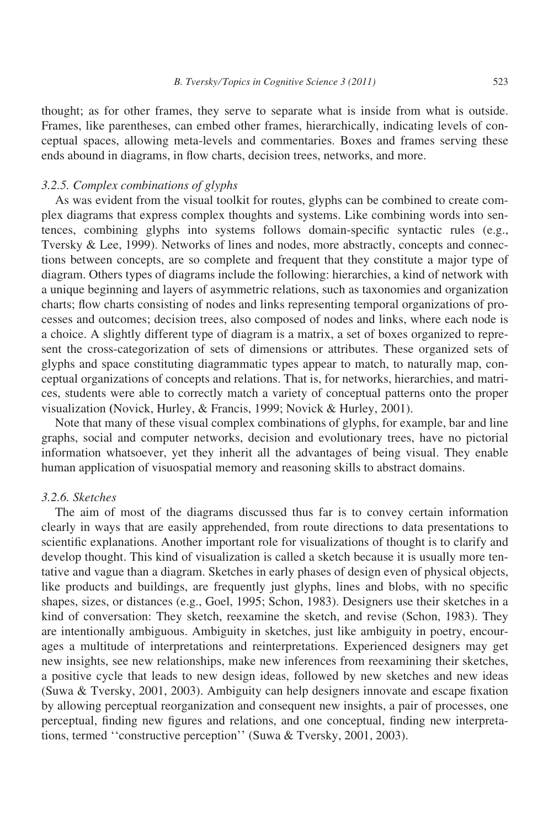thought; as for other frames, they serve to separate what is inside from what is outside. Frames, like parentheses, can embed other frames, hierarchically, indicating levels of conceptual spaces, allowing meta-levels and commentaries. Boxes and frames serving these ends abound in diagrams, in flow charts, decision trees, networks, and more.

# 3.2.5. Complex combinations of glyphs

As was evident from the visual toolkit for routes, glyphs can be combined to create complex diagrams that express complex thoughts and systems. Like combining words into sentences, combining glyphs into systems follows domain-specific syntactic rules (e.g., Tversky & Lee, 1999). Networks of lines and nodes, more abstractly, concepts and connections between concepts, are so complete and frequent that they constitute a major type of diagram. Others types of diagrams include the following: hierarchies, a kind of network with a unique beginning and layers of asymmetric relations, such as taxonomies and organization charts; flow charts consisting of nodes and links representing temporal organizations of processes and outcomes; decision trees, also composed of nodes and links, where each node is a choice. A slightly different type of diagram is a matrix, a set of boxes organized to represent the cross-categorization of sets of dimensions or attributes. These organized sets of glyphs and space constituting diagrammatic types appear to match, to naturally map, conceptual organizations of concepts and relations. That is, for networks, hierarchies, and matrices, students were able to correctly match a variety of conceptual patterns onto the proper visualization (Novick, Hurley, & Francis, 1999; Novick & Hurley, 2001).

Note that many of these visual complex combinations of glyphs, for example, bar and line graphs, social and computer networks, decision and evolutionary trees, have no pictorial information whatsoever, yet they inherit all the advantages of being visual. They enable human application of visuospatial memory and reasoning skills to abstract domains.

# 3.2.6. Sketches

The aim of most of the diagrams discussed thus far is to convey certain information clearly in ways that are easily apprehended, from route directions to data presentations to scientific explanations. Another important role for visualizations of thought is to clarify and develop thought. This kind of visualization is called a sketch because it is usually more tentative and vague than a diagram. Sketches in early phases of design even of physical objects, like products and buildings, are frequently just glyphs, lines and blobs, with no specific shapes, sizes, or distances (e.g., Goel, 1995; Schon, 1983). Designers use their sketches in a kind of conversation: They sketch, reexamine the sketch, and revise (Schon, 1983). They are intentionally ambiguous. Ambiguity in sketches, just like ambiguity in poetry, encourages a multitude of interpretations and reinterpretations. Experienced designers may get new insights, see new relationships, make new inferences from reexamining their sketches, a positive cycle that leads to new design ideas, followed by new sketches and new ideas (Suwa & Tversky, 2001, 2003). Ambiguity can help designers innovate and escape fixation by allowing perceptual reorganization and consequent new insights, a pair of processes, one perceptual, finding new figures and relations, and one conceptual, finding new interpretations, termed ''constructive perception'' (Suwa & Tversky, 2001, 2003).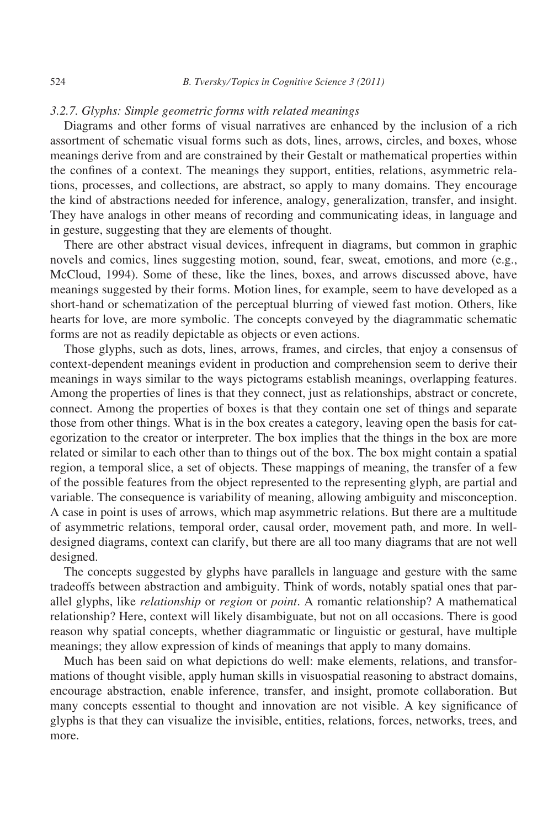#### 3.2.7. Glyphs: Simple geometric forms with related meanings

Diagrams and other forms of visual narratives are enhanced by the inclusion of a rich assortment of schematic visual forms such as dots, lines, arrows, circles, and boxes, whose meanings derive from and are constrained by their Gestalt or mathematical properties within the confines of a context. The meanings they support, entities, relations, asymmetric relations, processes, and collections, are abstract, so apply to many domains. They encourage the kind of abstractions needed for inference, analogy, generalization, transfer, and insight. They have analogs in other means of recording and communicating ideas, in language and in gesture, suggesting that they are elements of thought.

There are other abstract visual devices, infrequent in diagrams, but common in graphic novels and comics, lines suggesting motion, sound, fear, sweat, emotions, and more (e.g., McCloud, 1994). Some of these, like the lines, boxes, and arrows discussed above, have meanings suggested by their forms. Motion lines, for example, seem to have developed as a short-hand or schematization of the perceptual blurring of viewed fast motion. Others, like hearts for love, are more symbolic. The concepts conveyed by the diagrammatic schematic forms are not as readily depictable as objects or even actions.

Those glyphs, such as dots, lines, arrows, frames, and circles, that enjoy a consensus of context-dependent meanings evident in production and comprehension seem to derive their meanings in ways similar to the ways pictograms establish meanings, overlapping features. Among the properties of lines is that they connect, just as relationships, abstract or concrete, connect. Among the properties of boxes is that they contain one set of things and separate those from other things. What is in the box creates a category, leaving open the basis for categorization to the creator or interpreter. The box implies that the things in the box are more related or similar to each other than to things out of the box. The box might contain a spatial region, a temporal slice, a set of objects. These mappings of meaning, the transfer of a few of the possible features from the object represented to the representing glyph, are partial and variable. The consequence is variability of meaning, allowing ambiguity and misconception. A case in point is uses of arrows, which map asymmetric relations. But there are a multitude of asymmetric relations, temporal order, causal order, movement path, and more. In welldesigned diagrams, context can clarify, but there are all too many diagrams that are not well designed.

The concepts suggested by glyphs have parallels in language and gesture with the same tradeoffs between abstraction and ambiguity. Think of words, notably spatial ones that parallel glyphs, like relationship or region or point. A romantic relationship? A mathematical relationship? Here, context will likely disambiguate, but not on all occasions. There is good reason why spatial concepts, whether diagrammatic or linguistic or gestural, have multiple meanings; they allow expression of kinds of meanings that apply to many domains.

Much has been said on what depictions do well: make elements, relations, and transformations of thought visible, apply human skills in visuospatial reasoning to abstract domains, encourage abstraction, enable inference, transfer, and insight, promote collaboration. But many concepts essential to thought and innovation are not visible. A key significance of glyphs is that they can visualize the invisible, entities, relations, forces, networks, trees, and more.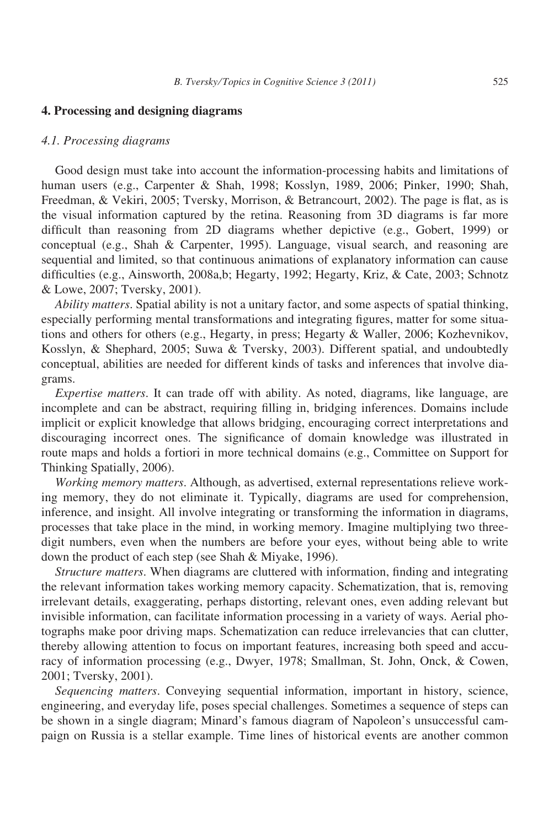#### 4. Processing and designing diagrams

#### 4.1. Processing diagrams

Good design must take into account the information-processing habits and limitations of human users (e.g., Carpenter & Shah, 1998; Kosslyn, 1989, 2006; Pinker, 1990; Shah, Freedman, & Vekiri, 2005; Tversky, Morrison, & Betrancourt, 2002). The page is flat, as is the visual information captured by the retina. Reasoning from 3D diagrams is far more difficult than reasoning from 2D diagrams whether depictive (e.g., Gobert, 1999) or conceptual (e.g., Shah & Carpenter, 1995). Language, visual search, and reasoning are sequential and limited, so that continuous animations of explanatory information can cause difficulties (e.g., Ainsworth, 2008a,b; Hegarty, 1992; Hegarty, Kriz, & Cate, 2003; Schnotz & Lowe, 2007; Tversky, 2001).

Ability matters. Spatial ability is not a unitary factor, and some aspects of spatial thinking, especially performing mental transformations and integrating figures, matter for some situations and others for others (e.g., Hegarty, in press; Hegarty & Waller, 2006; Kozhevnikov, Kosslyn, & Shephard, 2005; Suwa & Tversky, 2003). Different spatial, and undoubtedly conceptual, abilities are needed for different kinds of tasks and inferences that involve diagrams.

Expertise matters. It can trade off with ability. As noted, diagrams, like language, are incomplete and can be abstract, requiring filling in, bridging inferences. Domains include implicit or explicit knowledge that allows bridging, encouraging correct interpretations and discouraging incorrect ones. The significance of domain knowledge was illustrated in route maps and holds a fortiori in more technical domains (e.g., Committee on Support for Thinking Spatially, 2006).

Working memory matters. Although, as advertised, external representations relieve working memory, they do not eliminate it. Typically, diagrams are used for comprehension, inference, and insight. All involve integrating or transforming the information in diagrams, processes that take place in the mind, in working memory. Imagine multiplying two threedigit numbers, even when the numbers are before your eyes, without being able to write down the product of each step (see Shah & Miyake, 1996).

Structure matters. When diagrams are cluttered with information, finding and integrating the relevant information takes working memory capacity. Schematization, that is, removing irrelevant details, exaggerating, perhaps distorting, relevant ones, even adding relevant but invisible information, can facilitate information processing in a variety of ways. Aerial photographs make poor driving maps. Schematization can reduce irrelevancies that can clutter, thereby allowing attention to focus on important features, increasing both speed and accuracy of information processing (e.g., Dwyer, 1978; Smallman, St. John, Onck, & Cowen, 2001; Tversky, 2001).

Sequencing matters. Conveying sequential information, important in history, science, engineering, and everyday life, poses special challenges. Sometimes a sequence of steps can be shown in a single diagram; Minard's famous diagram of Napoleon's unsuccessful campaign on Russia is a stellar example. Time lines of historical events are another common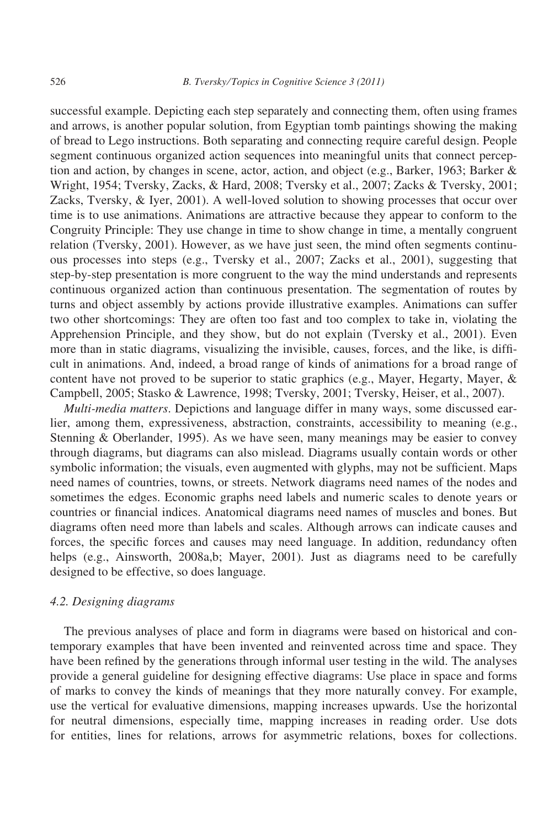successful example. Depicting each step separately and connecting them, often using frames and arrows, is another popular solution, from Egyptian tomb paintings showing the making of bread to Lego instructions. Both separating and connecting require careful design. People segment continuous organized action sequences into meaningful units that connect perception and action, by changes in scene, actor, action, and object (e.g., Barker, 1963; Barker  $\&$ Wright, 1954; Tversky, Zacks, & Hard, 2008; Tversky et al., 2007; Zacks & Tversky, 2001; Zacks, Tversky, & Iyer, 2001). A well-loved solution to showing processes that occur over time is to use animations. Animations are attractive because they appear to conform to the Congruity Principle: They use change in time to show change in time, a mentally congruent relation (Tversky, 2001). However, as we have just seen, the mind often segments continuous processes into steps (e.g., Tversky et al., 2007; Zacks et al., 2001), suggesting that step-by-step presentation is more congruent to the way the mind understands and represents continuous organized action than continuous presentation. The segmentation of routes by turns and object assembly by actions provide illustrative examples. Animations can suffer two other shortcomings: They are often too fast and too complex to take in, violating the Apprehension Principle, and they show, but do not explain (Tversky et al., 2001). Even more than in static diagrams, visualizing the invisible, causes, forces, and the like, is difficult in animations. And, indeed, a broad range of kinds of animations for a broad range of content have not proved to be superior to static graphics (e.g., Mayer, Hegarty, Mayer, & Campbell, 2005; Stasko & Lawrence, 1998; Tversky, 2001; Tversky, Heiser, et al., 2007).

Multi-media matters. Depictions and language differ in many ways, some discussed earlier, among them, expressiveness, abstraction, constraints, accessibility to meaning (e.g., Stenning & Oberlander, 1995). As we have seen, many meanings may be easier to convey through diagrams, but diagrams can also mislead. Diagrams usually contain words or other symbolic information; the visuals, even augmented with glyphs, may not be sufficient. Maps need names of countries, towns, or streets. Network diagrams need names of the nodes and sometimes the edges. Economic graphs need labels and numeric scales to denote years or countries or financial indices. Anatomical diagrams need names of muscles and bones. But diagrams often need more than labels and scales. Although arrows can indicate causes and forces, the specific forces and causes may need language. In addition, redundancy often helps (e.g., Ainsworth, 2008a,b; Mayer, 2001). Just as diagrams need to be carefully designed to be effective, so does language.

# 4.2. Designing diagrams

The previous analyses of place and form in diagrams were based on historical and contemporary examples that have been invented and reinvented across time and space. They have been refined by the generations through informal user testing in the wild. The analyses provide a general guideline for designing effective diagrams: Use place in space and forms of marks to convey the kinds of meanings that they more naturally convey. For example, use the vertical for evaluative dimensions, mapping increases upwards. Use the horizontal for neutral dimensions, especially time, mapping increases in reading order. Use dots for entities, lines for relations, arrows for asymmetric relations, boxes for collections.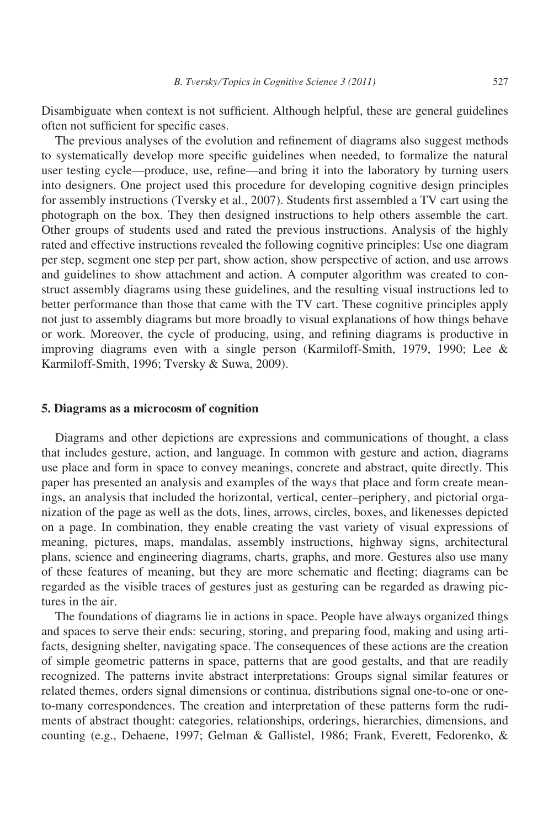Disambiguate when context is not sufficient. Although helpful, these are general guidelines often not sufficient for specific cases.

The previous analyses of the evolution and refinement of diagrams also suggest methods to systematically develop more specific guidelines when needed, to formalize the natural user testing cycle—produce, use, refine—and bring it into the laboratory by turning users into designers. One project used this procedure for developing cognitive design principles for assembly instructions (Tversky et al., 2007). Students first assembled a TV cart using the photograph on the box. They then designed instructions to help others assemble the cart. Other groups of students used and rated the previous instructions. Analysis of the highly rated and effective instructions revealed the following cognitive principles: Use one diagram per step, segment one step per part, show action, show perspective of action, and use arrows and guidelines to show attachment and action. A computer algorithm was created to construct assembly diagrams using these guidelines, and the resulting visual instructions led to better performance than those that came with the TV cart. These cognitive principles apply not just to assembly diagrams but more broadly to visual explanations of how things behave or work. Moreover, the cycle of producing, using, and refining diagrams is productive in improving diagrams even with a single person (Karmiloff-Smith, 1979, 1990; Lee & Karmiloff-Smith, 1996; Tversky & Suwa, 2009).

# 5. Diagrams as a microcosm of cognition

Diagrams and other depictions are expressions and communications of thought, a class that includes gesture, action, and language. In common with gesture and action, diagrams use place and form in space to convey meanings, concrete and abstract, quite directly. This paper has presented an analysis and examples of the ways that place and form create meanings, an analysis that included the horizontal, vertical, center–periphery, and pictorial organization of the page as well as the dots, lines, arrows, circles, boxes, and likenesses depicted on a page. In combination, they enable creating the vast variety of visual expressions of meaning, pictures, maps, mandalas, assembly instructions, highway signs, architectural plans, science and engineering diagrams, charts, graphs, and more. Gestures also use many of these features of meaning, but they are more schematic and fleeting; diagrams can be regarded as the visible traces of gestures just as gesturing can be regarded as drawing pictures in the air.

The foundations of diagrams lie in actions in space. People have always organized things and spaces to serve their ends: securing, storing, and preparing food, making and using artifacts, designing shelter, navigating space. The consequences of these actions are the creation of simple geometric patterns in space, patterns that are good gestalts, and that are readily recognized. The patterns invite abstract interpretations: Groups signal similar features or related themes, orders signal dimensions or continua, distributions signal one-to-one or oneto-many correspondences. The creation and interpretation of these patterns form the rudiments of abstract thought: categories, relationships, orderings, hierarchies, dimensions, and counting (e.g., Dehaene, 1997; Gelman & Gallistel, 1986; Frank, Everett, Fedorenko, &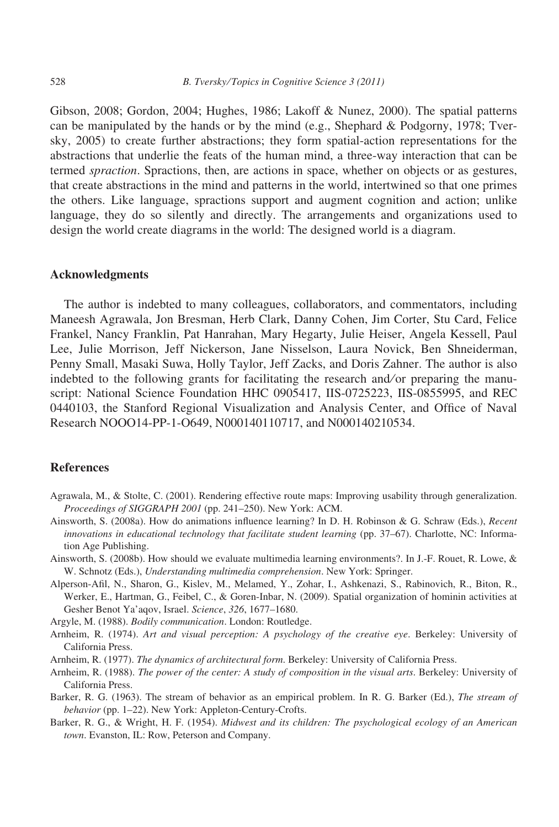Gibson, 2008; Gordon, 2004; Hughes, 1986; Lakoff & Nunez, 2000). The spatial patterns can be manipulated by the hands or by the mind (e.g., Shephard & Podgorny, 1978; Tversky, 2005) to create further abstractions; they form spatial-action representations for the abstractions that underlie the feats of the human mind, a three-way interaction that can be termed spraction. Spractions, then, are actions in space, whether on objects or as gestures, that create abstractions in the mind and patterns in the world, intertwined so that one primes the others. Like language, spractions support and augment cognition and action; unlike language, they do so silently and directly. The arrangements and organizations used to design the world create diagrams in the world: The designed world is a diagram.

# Acknowledgments

The author is indebted to many colleagues, collaborators, and commentators, including Maneesh Agrawala, Jon Bresman, Herb Clark, Danny Cohen, Jim Corter, Stu Card, Felice Frankel, Nancy Franklin, Pat Hanrahan, Mary Hegarty, Julie Heiser, Angela Kessell, Paul Lee, Julie Morrison, Jeff Nickerson, Jane Nisselson, Laura Novick, Ben Shneiderman, Penny Small, Masaki Suwa, Holly Taylor, Jeff Zacks, and Doris Zahner. The author is also indebted to the following grants for facilitating the research and/or preparing the manuscript: National Science Foundation HHC 0905417, IIS-0725223, IIS-0855995, and REC 0440103, the Stanford Regional Visualization and Analysis Center, and Office of Naval Research NOOO14-PP-1-O649, N000140110717, and N000140210534.

#### References

- Agrawala, M., & Stolte, C. (2001). Rendering effective route maps: Improving usability through generalization. Proceedings of SIGGRAPH 2001 (pp. 241–250). New York: ACM.
- Ainsworth, S. (2008a). How do animations influence learning? In D. H. Robinson & G. Schraw (Eds.), Recent innovations in educational technology that facilitate student learning (pp. 37–67). Charlotte, NC: Information Age Publishing.
- Ainsworth, S. (2008b). How should we evaluate multimedia learning environments?. In J.-F. Rouet, R. Lowe, & W. Schnotz (Eds.), Understanding multimedia comprehension. New York: Springer.
- Alperson-Afil, N., Sharon, G., Kislev, M., Melamed, Y., Zohar, I., Ashkenazi, S., Rabinovich, R., Biton, R., Werker, E., Hartman, G., Feibel, C., & Goren-Inbar, N. (2009). Spatial organization of hominin activities at Gesher Benot Ya'aqov, Israel. Science, 326, 1677–1680.

Argyle, M. (1988). Bodily communication. London: Routledge.

- Arnheim, R. (1974). Art and visual perception: A psychology of the creative eye. Berkeley: University of California Press.
- Arnheim, R. (1977). The dynamics of architectural form. Berkeley: University of California Press.
- Arnheim, R. (1988). The power of the center: A study of composition in the visual arts. Berkeley: University of California Press.
- Barker, R. G. (1963). The stream of behavior as an empirical problem. In R. G. Barker (Ed.), The stream of behavior (pp. 1–22). New York: Appleton-Century-Crofts.
- Barker, R. G., & Wright, H. F. (1954). Midwest and its children: The psychological ecology of an American town. Evanston, IL: Row, Peterson and Company.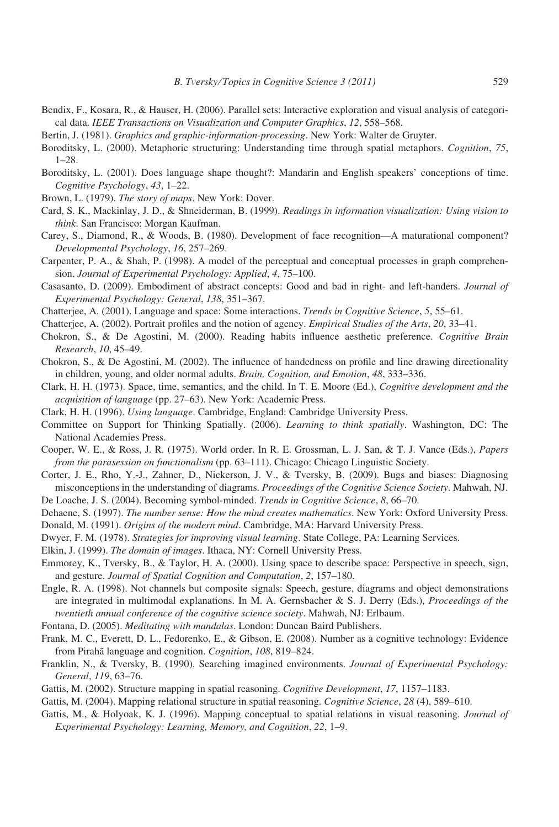- Bendix, F., Kosara, R., & Hauser, H. (2006). Parallel sets: Interactive exploration and visual analysis of categorical data. IEEE Transactions on Visualization and Computer Graphics, 12, 558–568.
- Bertin, J. (1981). Graphics and graphic-information-processing. New York: Walter de Gruyter.
- Boroditsky, L. (2000). Metaphoric structuring: Understanding time through spatial metaphors. Cognition, 75, 1–28.
- Boroditsky, L. (2001). Does language shape thought?: Mandarin and English speakers' conceptions of time. Cognitive Psychology, 43, 1–22.
- Brown, L. (1979). The story of maps. New York: Dover.
- Card, S. K., Mackinlay, J. D., & Shneiderman, B. (1999). Readings in information visualization: Using vision to think. San Francisco: Morgan Kaufman.
- Carey, S., Diamond, R., & Woods, B. (1980). Development of face recognition—A maturational component? Developmental Psychology, 16, 257–269.
- Carpenter, P. A., & Shah, P. (1998). A model of the perceptual and conceptual processes in graph comprehension. Journal of Experimental Psychology: Applied, 4, 75–100.
- Casasanto, D. (2009). Embodiment of abstract concepts: Good and bad in right- and left-handers. Journal of Experimental Psychology: General, 138, 351–367.
- Chatterjee, A. (2001). Language and space: Some interactions. Trends in Cognitive Science, 5, 55–61.
- Chatterjee, A. (2002). Portrait profiles and the notion of agency. Empirical Studies of the Arts, 20, 33–41.
- Chokron, S., & De Agostini, M. (2000). Reading habits influence aesthetic preference. Cognitive Brain Research, 10, 45–49.
- Chokron, S., & De Agostini, M. (2002). The influence of handedness on profile and line drawing directionality in children, young, and older normal adults. Brain, Cognition, and Emotion, 48, 333–336.
- Clark, H. H. (1973). Space, time, semantics, and the child. In T. E. Moore (Ed.), Cognitive development and the acquisition of language (pp. 27–63). New York: Academic Press.
- Clark, H. H. (1996). Using language. Cambridge, England: Cambridge University Press.
- Committee on Support for Thinking Spatially. (2006). Learning to think spatially. Washington, DC: The National Academies Press.
- Cooper, W. E., & Ross, J. R. (1975). World order. In R. E. Grossman, L. J. San, & T. J. Vance (Eds.), Papers from the parasession on functionalism (pp. 63–111). Chicago: Chicago Linguistic Society.
- Corter, J. E., Rho, Y.-J., Zahner, D., Nickerson, J. V., & Tversky, B. (2009). Bugs and biases: Diagnosing misconceptions in the understanding of diagrams. Proceedings of the Cognitive Science Society. Mahwah, NJ.
- De Loache, J. S. (2004). Becoming symbol-minded. Trends in Cognitive Science, 8, 66–70.
- Dehaene, S. (1997). The number sense: How the mind creates mathematics. New York: Oxford University Press.
- Donald, M. (1991). Origins of the modern mind. Cambridge, MA: Harvard University Press.
- Dwyer, F. M. (1978). Strategies for improving visual learning. State College, PA: Learning Services.
- Elkin, J. (1999). The domain of images. Ithaca, NY: Cornell University Press.
- Emmorey, K., Tversky, B., & Taylor, H. A. (2000). Using space to describe space: Perspective in speech, sign, and gesture. Journal of Spatial Cognition and Computation, 2, 157–180.
- Engle, R. A. (1998). Not channels but composite signals: Speech, gesture, diagrams and object demonstrations are integrated in multimodal explanations. In M. A. Gernsbacher & S. J. Derry (Eds.), *Proceedings of the* twentieth annual conference of the cognitive science society. Mahwah, NJ: Erlbaum.
- Fontana, D. (2005). Meditating with mandalas. London: Duncan Baird Publishers.
- Frank, M. C., Everett, D. L., Fedorenko, E., & Gibson, E. (2008). Number as a cognitive technology: Evidence from Pirahã language and cognition. Cognition, 108, 819-824.
- Franklin, N., & Tversky, B. (1990). Searching imagined environments. Journal of Experimental Psychology: General, 119, 63–76.
- Gattis, M. (2002). Structure mapping in spatial reasoning. Cognitive Development, 17, 1157–1183.
- Gattis, M. (2004). Mapping relational structure in spatial reasoning. Cognitive Science, 28 (4), 589–610.
- Gattis, M., & Holyoak, K. J. (1996). Mapping conceptual to spatial relations in visual reasoning. Journal of Experimental Psychology: Learning, Memory, and Cognition, 22, 1–9.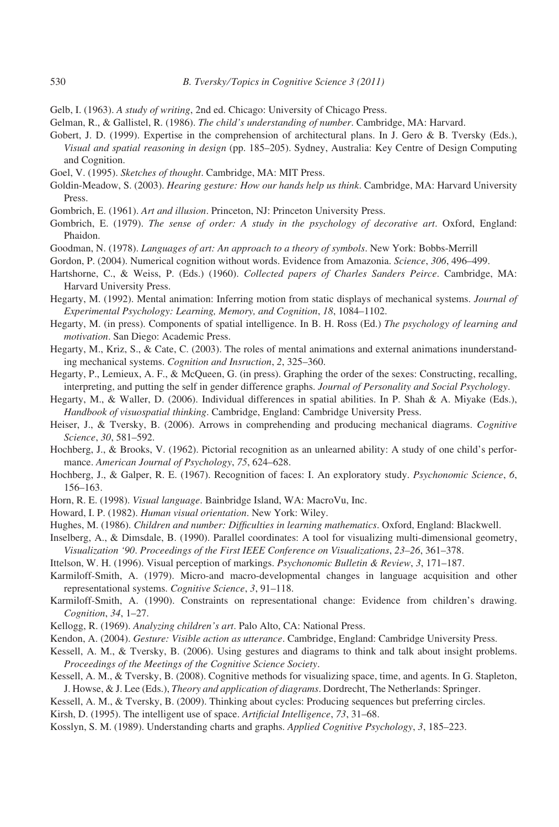- Gelb, I. (1963). A study of writing, 2nd ed. Chicago: University of Chicago Press.
- Gelman, R., & Gallistel, R. (1986). The child's understanding of number. Cambridge, MA: Harvard.
- Gobert, J. D. (1999). Expertise in the comprehension of architectural plans. In J. Gero & B. Tversky (Eds.), Visual and spatial reasoning in design (pp. 185–205). Sydney, Australia: Key Centre of Design Computing and Cognition.
- Goel, V. (1995). Sketches of thought. Cambridge, MA: MIT Press.
- Goldin-Meadow, S. (2003). Hearing gesture: How our hands help us think. Cambridge, MA: Harvard University Press.
- Gombrich, E. (1961). Art and illusion. Princeton, NJ: Princeton University Press.
- Gombrich, E. (1979). The sense of order: A study in the psychology of decorative art. Oxford, England: Phaidon.
- Goodman, N. (1978). Languages of art: An approach to a theory of symbols. New York: Bobbs-Merrill
- Gordon, P. (2004). Numerical cognition without words. Evidence from Amazonia. Science, 306, 496–499.
- Hartshorne, C., & Weiss, P. (Eds.) (1960). Collected papers of Charles Sanders Peirce. Cambridge, MA: Harvard University Press.
- Hegarty, M. (1992). Mental animation: Inferring motion from static displays of mechanical systems. Journal of Experimental Psychology: Learning, Memory, and Cognition, 18, 1084–1102.
- Hegarty, M. (in press). Components of spatial intelligence. In B. H. Ross (Ed.) The psychology of learning and motivation. San Diego: Academic Press.
- Hegarty, M., Kriz, S., & Cate, C. (2003). The roles of mental animations and external animations inunderstanding mechanical systems. Cognition and Insruction, 2, 325–360.
- Hegarty, P., Lemieux, A. F., & McQueen, G. (in press). Graphing the order of the sexes: Constructing, recalling, interpreting, and putting the self in gender difference graphs. Journal of Personality and Social Psychology.
- Hegarty, M., & Waller, D. (2006). Individual differences in spatial abilities. In P. Shah & A. Miyake (Eds.), Handbook of visuospatial thinking. Cambridge, England: Cambridge University Press.
- Heiser, J., & Tversky, B. (2006). Arrows in comprehending and producing mechanical diagrams. Cognitive Science, 30, 581–592.
- Hochberg, J., & Brooks, V. (1962). Pictorial recognition as an unlearned ability: A study of one child's performance. American Journal of Psychology, 75, 624–628.
- Hochberg, J., & Galper, R. E. (1967). Recognition of faces: I. An exploratory study. *Psychonomic Science*, 6, 156–163.
- Horn, R. E. (1998). Visual language. Bainbridge Island, WA: MacroVu, Inc.
- Howard, I. P. (1982). Human visual orientation. New York: Wiley.
- Hughes, M. (1986). Children and number: Difficulties in learning mathematics. Oxford, England: Blackwell.
- Inselberg, A., & Dimsdale, B. (1990). Parallel coordinates: A tool for visualizing multi-dimensional geometry, Visualization '90. Proceedings of the First IEEE Conference on Visualizations, 23–26, 361–378.
- Ittelson, W. H. (1996). Visual perception of markings. Psychonomic Bulletin & Review, 3, 171–187.
- Karmiloff-Smith, A. (1979). Micro-and macro-developmental changes in language acquisition and other representational systems. Cognitive Science, 3, 91–118.
- Karmiloff-Smith, A. (1990). Constraints on representational change: Evidence from children's drawing. Cognition, 34, 1–27.
- Kellogg, R. (1969). Analyzing children's art. Palo Alto, CA: National Press.
- Kendon, A. (2004). Gesture: Visible action as utterance. Cambridge, England: Cambridge University Press.
- Kessell, A. M., & Tversky, B. (2006). Using gestures and diagrams to think and talk about insight problems. Proceedings of the Meetings of the Cognitive Science Society.
- Kessell, A. M., & Tversky, B. (2008). Cognitive methods for visualizing space, time, and agents. In G. Stapleton, J. Howse, & J. Lee (Eds.), Theory and application of diagrams. Dordrecht, The Netherlands: Springer.
- Kessell, A. M., & Tversky, B. (2009). Thinking about cycles: Producing sequences but preferring circles.
- Kirsh, D. (1995). The intelligent use of space. Artificial Intelligence, 73, 31–68.
- Kosslyn, S. M. (1989). Understanding charts and graphs. Applied Cognitive Psychology, 3, 185–223.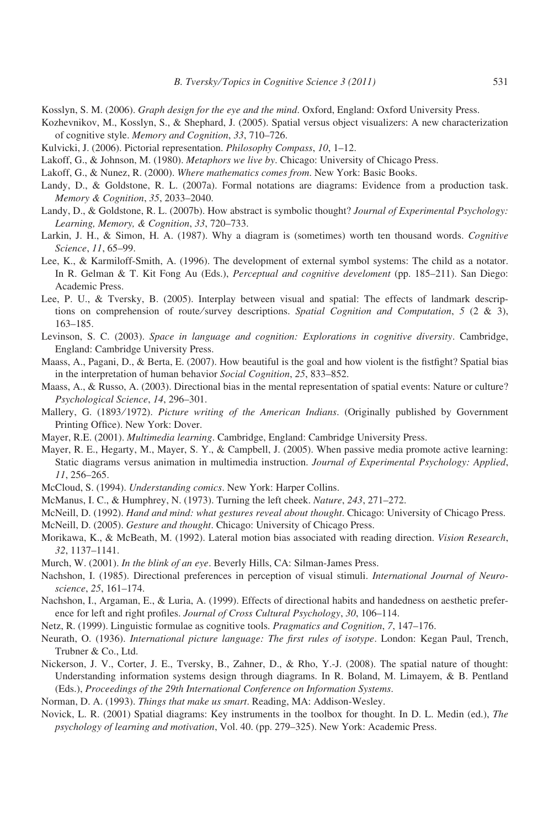Kosslyn, S. M. (2006). Graph design for the eye and the mind. Oxford, England: Oxford University Press.

- Kozhevnikov, M., Kosslyn, S., & Shephard, J. (2005). Spatial versus object visualizers: A new characterization of cognitive style. Memory and Cognition, 33, 710–726.
- Kulvicki, J. (2006). Pictorial representation. Philosophy Compass, 10, 1–12.
- Lakoff, G., & Johnson, M. (1980). Metaphors we live by. Chicago: University of Chicago Press.
- Lakoff, G., & Nunez, R. (2000). Where mathematics comes from. New York: Basic Books.
- Landy, D., & Goldstone, R. L. (2007a). Formal notations are diagrams: Evidence from a production task. Memory & Cognition, 35, 2033–2040.
- Landy, D., & Goldstone, R. L. (2007b). How abstract is symbolic thought? Journal of Experimental Psychology: Learning, Memory, & Cognition, 33, 720–733.
- Larkin, J. H., & Simon, H. A. (1987). Why a diagram is (sometimes) worth ten thousand words. Cognitive Science, 11, 65–99.
- Lee, K., & Karmiloff-Smith, A. (1996). The development of external symbol systems: The child as a notator. In R. Gelman & T. Kit Fong Au (Eds.), Perceptual and cognitive develoment (pp. 185–211). San Diego: Academic Press.
- Lee, P. U., & Tversky, B. (2005). Interplay between visual and spatial: The effects of landmark descriptions on comprehension of route/survey descriptions. Spatial Cognition and Computation, 5 (2 & 3), 163–185.
- Levinson, S. C. (2003). Space in language and cognition: Explorations in cognitive diversity. Cambridge, England: Cambridge University Press.
- Maass, A., Pagani, D., & Berta, E. (2007). How beautiful is the goal and how violent is the fistfight? Spatial bias in the interpretation of human behavior Social Cognition, 25, 833–852.
- Maass, A., & Russo, A. (2003). Directional bias in the mental representation of spatial events: Nature or culture? Psychological Science, 14, 296–301.
- Mallery, G. (1893/1972). Picture writing of the American Indians. (Originally published by Government Printing Office). New York: Dover.
- Mayer, R.E. (2001). Multimedia learning. Cambridge, England: Cambridge University Press.
- Mayer, R. E., Hegarty, M., Mayer, S. Y., & Campbell, J. (2005). When passive media promote active learning: Static diagrams versus animation in multimedia instruction. Journal of Experimental Psychology: Applied, 11, 256–265.
- McCloud, S. (1994). Understanding comics. New York: Harper Collins.
- McManus, I. C., & Humphrey, N. (1973). Turning the left cheek. Nature, 243, 271–272.
- McNeill, D. (1992). Hand and mind: what gestures reveal about thought. Chicago: University of Chicago Press.
- McNeill, D. (2005). Gesture and thought. Chicago: University of Chicago Press.
- Morikawa, K., & McBeath, M. (1992). Lateral motion bias associated with reading direction. Vision Research, 32, 1137–1141.
- Murch, W. (2001). In the blink of an eye. Beverly Hills, CA: Silman-James Press.
- Nachshon, I. (1985). Directional preferences in perception of visual stimuli. International Journal of Neuroscience, 25, 161–174.
- Nachshon, I., Argaman, E., & Luria, A. (1999). Effects of directional habits and handedness on aesthetic preference for left and right profiles. Journal of Cross Cultural Psychology, 30, 106–114.
- Netz, R. (1999). Linguistic formulae as cognitive tools. Pragmatics and Cognition, 7, 147–176.
- Neurath, O. (1936). International picture language: The first rules of isotype. London: Kegan Paul, Trench, Trubner & Co., Ltd.
- Nickerson, J. V., Corter, J. E., Tversky, B., Zahner, D., & Rho, Y.-J. (2008). The spatial nature of thought: Understanding information systems design through diagrams. In R. Boland, M. Limayem, & B. Pentland (Eds.), Proceedings of the 29th International Conference on Information Systems.
- Norman, D. A. (1993). Things that make us smart. Reading, MA: Addison-Wesley.
- Novick, L. R. (2001) Spatial diagrams: Key instruments in the toolbox for thought. In D. L. Medin (ed.), The psychology of learning and motivation, Vol. 40. (pp. 279–325). New York: Academic Press.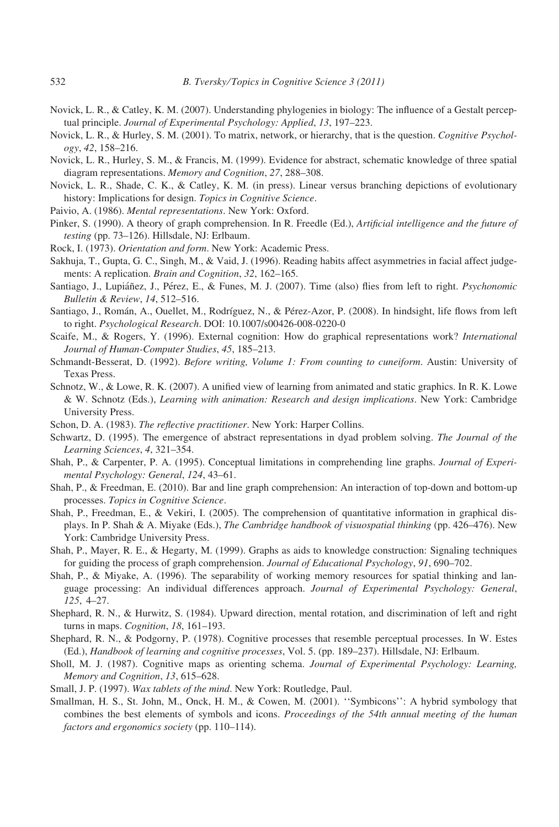- Novick, L. R., & Catley, K. M. (2007). Understanding phylogenies in biology: The influence of a Gestalt perceptual principle. Journal of Experimental Psychology: Applied, 13, 197–223.
- Novick, L. R., & Hurley, S. M. (2001). To matrix, network, or hierarchy, that is the question. Cognitive Psychology, 42, 158–216.
- Novick, L. R., Hurley, S. M., & Francis, M. (1999). Evidence for abstract, schematic knowledge of three spatial diagram representations. Memory and Cognition, 27, 288–308.
- Novick, L. R., Shade, C. K., & Catley, K. M. (in press). Linear versus branching depictions of evolutionary history: Implications for design. Topics in Cognitive Science.
- Paivio, A. (1986). Mental representations. New York: Oxford.
- Pinker, S. (1990). A theory of graph comprehension. In R. Freedle (Ed.), Artificial intelligence and the future of testing (pp. 73–126). Hillsdale, NJ: Erlbaum.
- Rock, I. (1973). Orientation and form. New York: Academic Press.
- Sakhuja, T., Gupta, G. C., Singh, M., & Vaid, J. (1996). Reading habits affect asymmetries in facial affect judgements: A replication. Brain and Cognition, 32, 162–165.
- Santiago, J., Lupiáñez, J., Pérez, E., & Funes, M. J. (2007). Time (also) flies from left to right. *Psychonomic* Bulletin & Review, 14, 512–516.
- Santiago, J., Román, A., Ouellet, M., Rodríguez, N., & Pérez-Azor, P. (2008). In hindsight, life flows from left to right. Psychological Research. DOI: 10.1007/s00426-008-0220-0
- Scaife, M., & Rogers, Y. (1996). External cognition: How do graphical representations work? International Journal of Human-Computer Studies, 45, 185–213.
- Schmandt-Besserat, D. (1992). Before writing, Volume 1: From counting to cuneiform. Austin: University of Texas Press.
- Schnotz, W., & Lowe, R. K. (2007). A unified view of learning from animated and static graphics. In R. K. Lowe & W. Schnotz (Eds.), Learning with animation: Research and design implications. New York: Cambridge University Press.
- Schon, D. A. (1983). The reflective practitioner. New York: Harper Collins.
- Schwartz, D. (1995). The emergence of abstract representations in dyad problem solving. The Journal of the Learning Sciences, 4, 321–354.
- Shah, P., & Carpenter, P. A. (1995). Conceptual limitations in comprehending line graphs. Journal of Experimental Psychology: General, 124, 43–61.
- Shah, P., & Freedman, E. (2010). Bar and line graph comprehension: An interaction of top-down and bottom-up processes. Topics in Cognitive Science.
- Shah, P., Freedman, E., & Vekiri, I. (2005). The comprehension of quantitative information in graphical displays. In P. Shah & A. Miyake (Eds.), The Cambridge handbook of visuospatial thinking (pp. 426–476). New York: Cambridge University Press.
- Shah, P., Mayer, R. E., & Hegarty, M. (1999). Graphs as aids to knowledge construction: Signaling techniques for guiding the process of graph comprehension. Journal of Educational Psychology, 91, 690–702.
- Shah, P., & Miyake, A. (1996). The separability of working memory resources for spatial thinking and language processing: An individual differences approach. Journal of Experimental Psychology: General, 125, 4–27.
- Shephard, R. N., & Hurwitz, S. (1984). Upward direction, mental rotation, and discrimination of left and right turns in maps. Cognition, 18, 161–193.
- Shephard, R. N., & Podgorny, P. (1978). Cognitive processes that resemble perceptual processes. In W. Estes (Ed.), Handbook of learning and cognitive processes, Vol. 5. (pp. 189–237). Hillsdale, NJ: Erlbaum.
- Sholl, M. J. (1987). Cognitive maps as orienting schema. Journal of Experimental Psychology: Learning, Memory and Cognition, 13, 615–628.
- Small, J. P. (1997). Wax tablets of the mind. New York: Routledge, Paul.
- Smallman, H. S., St. John, M., Onck, H. M., & Cowen, M. (2001). ''Symbicons'': A hybrid symbology that combines the best elements of symbols and icons. Proceedings of the 54th annual meeting of the human factors and ergonomics society (pp. 110–114).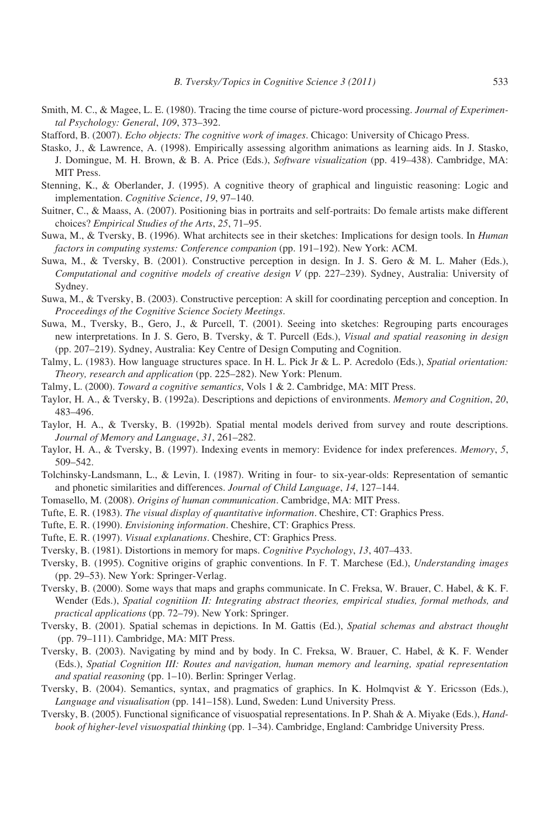- Smith, M. C., & Magee, L. E. (1980). Tracing the time course of picture-word processing. Journal of Experimental Psychology: General, 109, 373–392.
- Stafford, B. (2007). Echo objects: The cognitive work of images. Chicago: University of Chicago Press.
- Stasko, J., & Lawrence, A. (1998). Empirically assessing algorithm animations as learning aids. In J. Stasko, J. Domingue, M. H. Brown, & B. A. Price (Eds.), Software visualization (pp. 419-438). Cambridge, MA: MIT Press.
- Stenning, K., & Oberlander, J. (1995). A cognitive theory of graphical and linguistic reasoning: Logic and implementation. Cognitive Science, 19, 97–140.
- Suitner, C., & Maass, A. (2007). Positioning bias in portraits and self-portraits: Do female artists make different choices? Empirical Studies of the Arts, 25, 71–95.
- Suwa, M., & Tversky, B. (1996). What architects see in their sketches: Implications for design tools. In Human factors in computing systems: Conference companion (pp. 191–192). New York: ACM.
- Suwa, M., & Tversky, B. (2001). Constructive perception in design. In J. S. Gero & M. L. Maher (Eds.), Computational and cognitive models of creative design V (pp. 227–239). Sydney, Australia: University of Sydney.
- Suwa, M., & Tversky, B. (2003). Constructive perception: A skill for coordinating perception and conception. In Proceedings of the Cognitive Science Society Meetings.
- Suwa, M., Tversky, B., Gero, J., & Purcell, T. (2001). Seeing into sketches: Regrouping parts encourages new interpretations. In J. S. Gero, B. Tversky, & T. Purcell (Eds.), Visual and spatial reasoning in design (pp. 207–219). Sydney, Australia: Key Centre of Design Computing and Cognition.
- Talmy, L. (1983). How language structures space. In H. L. Pick Jr & L. P. Acredolo (Eds.), Spatial orientation: Theory, research and application (pp. 225–282). New York: Plenum.
- Talmy, L. (2000). Toward a cognitive semantics, Vols 1 & 2. Cambridge, MA: MIT Press.
- Taylor, H. A., & Tversky, B. (1992a). Descriptions and depictions of environments. Memory and Cognition, 20, 483–496.
- Taylor, H. A., & Tversky, B. (1992b). Spatial mental models derived from survey and route descriptions. Journal of Memory and Language, 31, 261–282.
- Taylor, H. A., & Tversky, B. (1997). Indexing events in memory: Evidence for index preferences. Memory, 5, 509–542.
- Tolchinsky-Landsmann, L., & Levin, I. (1987). Writing in four- to six-year-olds: Representation of semantic and phonetic similarities and differences. Journal of Child Language, 14, 127–144.
- Tomasello, M. (2008). Origins of human communication. Cambridge, MA: MIT Press.
- Tufte, E. R. (1983). The visual display of quantitative information. Cheshire, CT: Graphics Press.
- Tufte, E. R. (1990). Envisioning information. Cheshire, CT: Graphics Press.
- Tufte, E. R. (1997). Visual explanations. Cheshire, CT: Graphics Press.
- Tversky, B. (1981). Distortions in memory for maps. Cognitive Psychology, 13, 407–433.
- Tversky, B. (1995). Cognitive origins of graphic conventions. In F. T. Marchese (Ed.), Understanding images (pp. 29–53). New York: Springer-Verlag.
- Tversky, B. (2000). Some ways that maps and graphs communicate. In C. Freksa, W. Brauer, C. Habel, & K. F. Wender (Eds.), Spatial cognitiion II: Integrating abstract theories, empirical studies, formal methods, and practical applications (pp. 72–79). New York: Springer.
- Tversky, B. (2001). Spatial schemas in depictions. In M. Gattis (Ed.), Spatial schemas and abstract thought (pp. 79–111). Cambridge, MA: MIT Press.
- Tversky, B. (2003). Navigating by mind and by body. In C. Freksa, W. Brauer, C. Habel, & K. F. Wender (Eds.), Spatial Cognition III: Routes and navigation, human memory and learning, spatial representation and spatial reasoning (pp. 1–10). Berlin: Springer Verlag.
- Tversky, B. (2004). Semantics, syntax, and pragmatics of graphics. In K. Holmqvist & Y. Ericsson (Eds.), Language and visualisation (pp. 141–158). Lund, Sweden: Lund University Press.
- Tversky, B. (2005). Functional significance of visuospatial representations. In P. Shah & A. Miyake (Eds.), Handbook of higher-level visuospatial thinking (pp. 1–34). Cambridge, England: Cambridge University Press.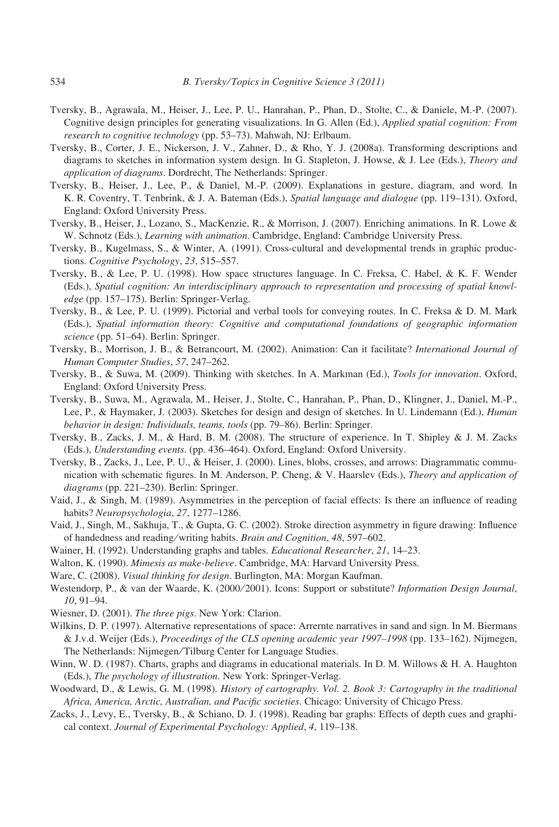- Tversky, B., Agrawala, M., Heiser, J., Lee, P. U., Hanrahan, P., Phan, D., Stolte, C., & Daniele, M.-P. (2007). Cognitive design principles for generating visualizations. In G. Allen (Ed.), Applied spatial cognition: From research to cognitive technology (pp. 53–73). Mahwah, NJ: Erlbaum.
- Tversky, B., Corter, J. E., Nickerson, J. V., Zahner, D., & Rho, Y. J. (2008a). Transforming descriptions and diagrams to sketches in information system design. In G. Stapleton, J. Howse, & J. Lee (Eds.), Theory and application of diagrams. Dordrecht, The Netherlands: Springer.
- Tversky, B., Heiser, J., Lee, P., & Daniel, M.-P. (2009). Explanations in gesture, diagram, and word. In K. R. Coventry, T. Tenbrink, & J. A. Bateman (Eds.), Spatial language and dialogue (pp. 119–131). Oxford, England: Oxford University Press.
- Tversky, B., Heiser, J., Lozano, S., MacKenzie, R., & Morrison, J. (2007). Enriching animations. In R. Lowe & W. Schnotz (Eds.), Learning with animation. Cambridge, England: Cambridge University Press.
- Tversky, B., Kugelmass, S., & Winter, A. (1991). Cross-cultural and developmental trends in graphic productions. Cognitive Psychology, 23, 515–557.
- Tversky, B., & Lee, P. U. (1998). How space structures language. In C. Freksa, C. Habel, & K. F. Wender (Eds.), Spatial cognition: An interdisciplinary approach to representation and processing of spatial knowledge (pp. 157–175). Berlin: Springer-Verlag.
- Tversky, B., & Lee, P. U. (1999). Pictorial and verbal tools for conveying routes. In C. Freksa & D. M. Mark (Eds.), Spatial information theory: Cognitive and computational foundations of geographic information science (pp. 51–64). Berlin: Springer.
- Tversky, B., Morrison, J. B., & Betrancourt, M. (2002). Animation: Can it facilitate? International Journal of Human Computer Studies, 57, 247–262.
- Tversky, B., & Suwa, M. (2009). Thinking with sketches. In A. Markman (Ed.), Tools for innovation. Oxford, England: Oxford University Press.
- Tversky, B., Suwa, M., Agrawala, M., Heiser, J., Stolte, C., Hanrahan, P., Phan, D., Klingner, J., Daniel, M.-P., Lee, P., & Haymaker, J. (2003). Sketches for design and design of sketches. In U. Lindemann (Ed.), Human behavior in design: Individuals, teams, tools (pp. 79–86). Berlin: Springer.
- Tversky, B., Zacks, J. M., & Hard, B. M. (2008). The structure of experience. In T. Shipley & J. M. Zacks (Eds.), Understanding events. (pp. 436–464). Oxford, England: Oxford University.
- Tversky, B., Zacks, J., Lee, P. U., & Heiser, J. (2000). Lines, blobs, crosses, and arrows: Diagrammatic communication with schematic figures. In M. Anderson, P. Cheng, & V. Haarslev (Eds.), Theory and application of diagrams (pp. 221–230). Berlin: Springer.
- Vaid, J., & Singh, M. (1989). Asymmetries in the perception of facial effects: Is there an influence of reading habits? Neuropsychologia, 27, 1277–1286.
- Vaid, J., Singh, M., Sakhuja, T., & Gupta, G. C. (2002). Stroke direction asymmetry in figure drawing: Influence of handedness and reading/writing habits. Brain and Cognition, 48, 597–602.
- Wainer, H. (1992). Understanding graphs and tables. *Educational Researcher*, 21, 14–23.
- Walton, K. (1990). Mimesis as make-believe. Cambridge, MA: Harvard University Press.
- Ware, C. (2008). Visual thinking for design. Burlington, MA: Morgan Kaufman.
- Westendorp, P., & van der Waarde, K. (2000/2001). Icons: Support or substitute? Information Design Journal, 10, 91–94.
- Wiesner, D. (2001). The three pigs. New York: Clarion.
- Wilkins, D. P. (1997). Alternative representations of space: Arrernte narratives in sand and sign. In M. Biermans & J.v.d. Weijer (Eds.), Proceedings of the CLS opening academic year 1997–1998 (pp. 133–162). Nijmegen, The Netherlands: Nijmegen/Tilburg Center for Language Studies.
- Winn, W. D. (1987). Charts, graphs and diagrams in educational materials. In D. M. Willows & H. A. Haughton (Eds.), The psychology of illustration. New York: Springer-Verlag.
- Woodward, D., & Lewis, G. M. (1998). History of cartography. Vol. 2. Book 3: Cartography in the traditional Africa, America, Arctic, Australian, and Pacific societies. Chicago: University of Chicago Press.
- Zacks, J., Levy, E., Tversky, B., & Schiano, D. J. (1998). Reading bar graphs: Effects of depth cues and graphical context. Journal of Experimental Psychology: Applied, 4, 119–138.